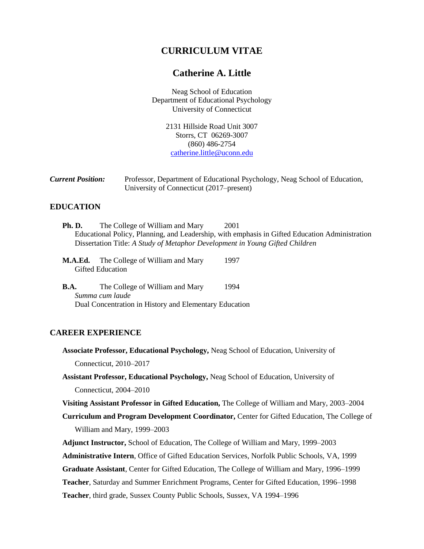# **CURRICULUM VITAE**

# **Catherine A. Little**

Neag School of Education Department of Educational Psychology University of Connecticut

> 2131 Hillside Road Unit 3007 Storrs, CT 06269-3007 (860) 486-2754 [catherine.little@uconn.edu](mailto:catherine.little@uconn.edu)

| <b>Current Position:</b> | Professor, Department of Educational Psychology, Neag School of Education, |
|--------------------------|----------------------------------------------------------------------------|
|                          | University of Connecticut (2017–present)                                   |

### **EDUCATION**

- **Ph. D.** The College of William and Mary 2001 Educational Policy, Planning, and Leadership, with emphasis in Gifted Education Administration Dissertation Title: *A Study of Metaphor Development in Young Gifted Children*
- **M.A.Ed.** The College of William and Mary 1997 Gifted Education
- **B.A.** The College of William and Mary 1994 *Summa cum laude* Dual Concentration in History and Elementary Education

## **CAREER EXPERIENCE**

- **Associate Professor, Educational Psychology,** Neag School of Education, University of Connecticut, 2010–2017
- **Assistant Professor, Educational Psychology,** Neag School of Education, University of Connecticut, 2004–2010

**Visiting Assistant Professor in Gifted Education,** The College of William and Mary, 2003–2004

**Curriculum and Program Development Coordinator,** Center for Gifted Education, The College of William and Mary, 1999–2003

**Adjunct Instructor,** School of Education, The College of William and Mary, 1999–2003

**Administrative Intern**, Office of Gifted Education Services, Norfolk Public Schools, VA, 1999

**Graduate Assistant**, Center for Gifted Education, The College of William and Mary, 1996–1999

**Teacher**, Saturday and Summer Enrichment Programs, Center for Gifted Education, 1996–1998

**Teacher**, third grade, Sussex County Public Schools, Sussex, VA 1994–1996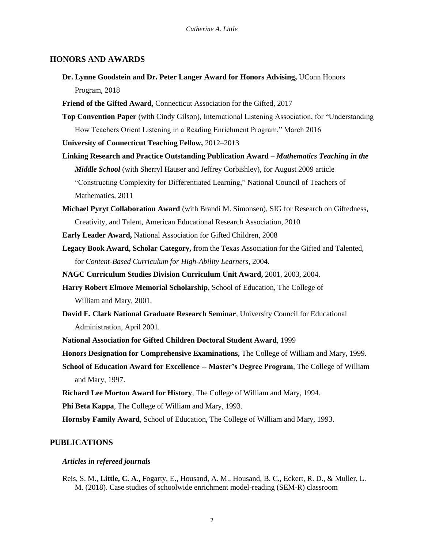### **HONORS AND AWARDS**

- **Dr. Lynne Goodstein and Dr. Peter Langer Award for Honors Advising,** UConn Honors Program, 2018
- **Friend of the Gifted Award,** Connecticut Association for the Gifted, 2017
- **Top Convention Paper** (with Cindy Gilson), International Listening Association, for "Understanding How Teachers Orient Listening in a Reading Enrichment Program," March 2016

**University of Connecticut Teaching Fellow,** 2012–2013

- **Linking Research and Practice Outstanding Publication Award –** *Mathematics Teaching in the Middle School* (with Sherryl Hauser and Jeffrey Corbishley), for August 2009 article "Constructing Complexity for Differentiated Learning," National Council of Teachers of Mathematics, 2011
- **Michael Pyryt Collaboration Award** (with Brandi M. Simonsen), SIG for Research on Giftedness, Creativity, and Talent, American Educational Research Association, 2010
- **Early Leader Award,** National Association for Gifted Children, 2008
- **Legacy Book Award, Scholar Category,** from the Texas Association for the Gifted and Talented, for *Content-Based Curriculum for High-Ability Learners,* 2004.
- **NAGC Curriculum Studies Division Curriculum Unit Award,** 2001, 2003, 2004.
- **Harry Robert Elmore Memorial Scholarship**, School of Education, The College of William and Mary, 2001.
- **David E. Clark National Graduate Research Seminar**, University Council for Educational Administration, April 2001.
- **National Association for Gifted Children Doctoral Student Award**, 1999
- **Honors Designation for Comprehensive Examinations,** The College of William and Mary, 1999.
- **School of Education Award for Excellence -- Master's Degree Program**, The College of William and Mary, 1997.
- **Richard Lee Morton Award for History**, The College of William and Mary, 1994.
- **Phi Beta Kappa**, The College of William and Mary, 1993.

**Hornsby Family Award**, School of Education, The College of William and Mary, 1993.

# **PUBLICATIONS**

#### *Articles in refereed journals*

Reis, S. M., **Little, C. A.,** Fogarty, E., Housand, A. M., Housand, B. C., Eckert, R. D., & Muller, L. M. (2018). Case studies of schoolwide enrichment model-reading (SEM-R) classroom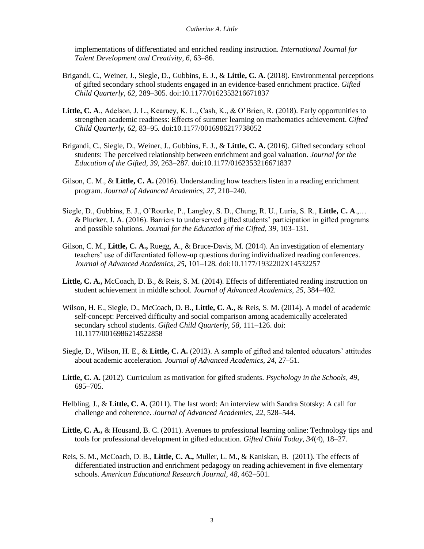implementations of differentiated and enriched reading instruction. *International Journal for Talent Development and Creativity, 6,* 63–86.

- Brigandi, C., Weiner, J., Siegle, D., Gubbins, E. J., & **Little, C. A.** (2018). Environmental perceptions of gifted secondary school students engaged in an evidence-based enrichment practice. *Gifted Child Quarterly, 62,* 289–305*.* doi:10.1177/0162353216671837
- **Little, C. A**., Adelson, J. L., Kearney, K. L., Cash, K., & O'Brien, R. (2018). Early opportunities to strengthen academic readiness: Effects of summer learning on mathematics achievement. *Gifted Child Quarterly, 62,* 83–95*.* doi:10.1177/0016986217738052
- Brigandi, C., Siegle, D., Weiner, J., Gubbins, E. J., & **Little, C. A.** (2016). Gifted secondary school students: The perceived relationship between enrichment and goal valuation*. Journal for the Education of the Gifted, 39,* 263–287*.* doi:10.1177/0162353216671837
- Gilson, C. M., & **Little, C. A.** (2016). Understanding how teachers listen in a reading enrichment program. *Journal of Advanced Academics, 27,* 210–240*.*
- Siegle, D., Gubbins, E. J., O'Rourke, P., Langley, S. D., Chung, R. U., Luria, S. R., **Little, C. A**.,… & Plucker, J. A. (2016). Barriers to underserved gifted students' participation in gifted programs and possible solutions. *Journal for the Education of the Gifted, 39,* 103–131*.*
- Gilson, C. M., **Little, C. A.,** Ruegg, A., & Bruce-Davis, M. (2014). An investigation of elementary teachers' use of differentiated follow-up questions during individualized reading conferences. *Journal of Advanced Academics, 25,* 101–128*.* doi:10.1177/1932202X14532257
- **Little, C. A.,** McCoach, D. B., & Reis, S. M. (2014). Effects of differentiated reading instruction on student achievement in middle school. *Journal of Advanced Academics, 25,* 384–402*.*
- Wilson, H. E., Siegle, D., McCoach, D. B., **Little, C. A.**, & Reis, S. M. (2014). A model of academic self-concept: Perceived difficulty and social comparison among academically accelerated secondary school students. *Gifted Child Quarterly, 58,* 111–126. doi: 10.1177/0016986214522858
- Siegle, D., Wilson, H. E., & **Little, C. A.** (2013). A sample of gifted and talented educators' attitudes about academic acceleration. *Journal of Advanced Academics, 24,* 27–51*.*
- **Little, C. A.** (2012). Curriculum as motivation for gifted students. *Psychology in the Schools, 49,*  695–705*.*
- Helbling, J., & **Little, C. A.** (2011). The last word: An interview with Sandra Stotsky: A call for challenge and coherence. *Journal of Advanced Academics, 22,* 528–544*.*
- **Little, C. A.,** & Housand, B. C. (2011). Avenues to professional learning online: Technology tips and tools for professional development in gifted education. *Gifted Child Today, 34*(4), 18–27*.*
- Reis, S. M., McCoach, D. B., **Little, C. A.,** Muller, L. M., & Kaniskan, B. (2011). The effects of differentiated instruction and enrichment pedagogy on reading achievement in five elementary schools. *American Educational Research Journal, 48,* 462–501.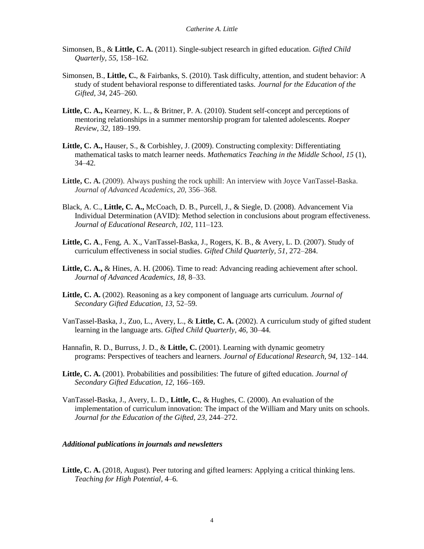- Simonsen, B., & **Little, C. A.** (2011). Single-subject research in gifted education. *Gifted Child Quarterly, 55,* 158–162*.*
- Simonsen, B., **Little, C.**, & Fairbanks, S. (2010). Task difficulty, attention, and student behavior: A study of student behavioral response to differentiated tasks. *Journal for the Education of the Gifted, 34,* 245–260*.*
- **Little, C. A.,** Kearney, K. L., & Britner, P. A. (2010). Student self-concept and perceptions of mentoring relationships in a summer mentorship program for talented adolescents. *Roeper Review, 32,* 189–199.
- **Little, C. A.,** Hauser, S., & Corbishley, J. (2009). Constructing complexity: Differentiating mathematical tasks to match learner needs. *Mathematics Teaching in the Middle School, 15* (1), 34–42*.*
- Little, C. A. (2009). Always pushing the rock uphill: An interview with Joyce VanTassel-Baska. *Journal of Advanced Academics, 20,* 356–368*.*
- Black, A. C., **Little, C. A.,** McCoach, D. B., Purcell, J., & Siegle, D. (2008). Advancement Via Individual Determination (AVID): Method selection in conclusions about program effectiveness. *Journal of Educational Research, 102,* 111–123*.*
- **Little, C. A**., Feng, A. X., VanTassel-Baska, J., Rogers, K. B., & Avery, L. D. (2007). Study of curriculum effectiveness in social studies. *Gifted Child Quarterly, 51,* 272–284.
- **Little, C. A.,** & Hines, A. H. (2006). Time to read: Advancing reading achievement after school. *Journal of Advanced Academics, 18,* 8–33.
- **Little, C. A.** (2002). Reasoning as a key component of language arts curriculum. *Journal of Secondary Gifted Education, 13,* 52–59*.*
- VanTassel-Baska, J., Zuo, L., Avery, L., & **Little, C. A.** (2002). A curriculum study of gifted student learning in the language arts. *Gifted Child Quarterly, 46,* 30–44*.*
- Hannafin, R. D., Burruss, J. D., & **Little, C.** (2001). Learning with dynamic geometry programs: Perspectives of teachers and learners. *Journal of Educational Research, 94,* 132–144.
- **Little, C. A.** (2001). Probabilities and possibilities: The future of gifted education. *Journal of Secondary Gifted Education, 12,* 166–169.
- VanTassel-Baska, J., Avery, L. D., **Little, C.**, & Hughes, C. (2000). An evaluation of the implementation of curriculum innovation: The impact of the William and Mary units on schools. *Journal for the Education of the Gifted, 23,* 244–272.

#### *Additional publications in journals and newsletters*

Little, C. A. (2018, August). Peer tutoring and gifted learners: Applying a critical thinking lens. *Teaching for High Potential,* 4–6*.*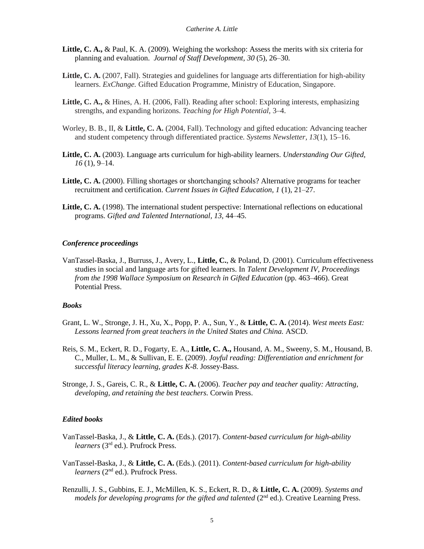- **Little, C. A.,** & Paul, K. A. (2009). Weighing the workshop: Assess the merits with six criteria for planning and evaluation. *Journal of Staff Development, 30* (5), 26–30*.*
- Little, C. A. (2007, Fall). Strategies and guidelines for language arts differentiation for high-ability learners. *ExChange.* Gifted Education Programme, Ministry of Education, Singapore.
- **Little, C. A.,** & Hines, A. H. (2006, Fall). Reading after school: Exploring interests, emphasizing strengths, and expanding horizons. *Teaching for High Potential,* 3–4.
- Worley, B. B., II, & **Little, C. A.** (2004, Fall). Technology and gifted education: Advancing teacher and student competency through differentiated practice. *Systems Newsletter, 13*(1), 15–16.
- **Little, C. A.** (2003). Language arts curriculum for high-ability learners. *Understanding Our Gifted, 16* (1), 9–14.
- **Little, C. A.** (2000). Filling shortages or shortchanging schools? Alternative programs for teacher recruitment and certification. *Current Issues in Gifted Education, 1* (1), 21–27.
- **Little, C. A.** (1998). The international student perspective: International reflections on educational programs. *Gifted and Talented International, 13,* 44–45.

#### *Conference proceedings*

VanTassel-Baska, J., Burruss, J., Avery, L., **Little, C.**, & Poland, D. (2001). Curriculum effectiveness studies in social and language arts for gifted learners. In *Talent Development IV, Proceedings from the 1998 Wallace Symposium on Research in Gifted Education* (pp. 463–466). Great Potential Press.

### *Books*

- Grant, L. W., Stronge, J. H., Xu, X., Popp, P. A., Sun, Y., & **Little, C. A.** (2014). *West meets East: Lessons learned from great teachers in the United States and China.* ASCD.
- Reis, S. M., Eckert, R. D., Fogarty, E. A., **Little, C. A.,** Housand, A. M., Sweeny, S. M., Housand, B. C., Muller, L. M., & Sullivan, E. E. (2009). *Joyful reading: Differentiation and enrichment for successful literacy learning, grades K-8.* Jossey-Bass.
- Stronge, J. S., Gareis, C. R., & **Little, C. A.** (2006). *Teacher pay and teacher quality: Attracting, developing, and retaining the best teachers.* Corwin Press.

#### *Edited books*

- VanTassel-Baska, J., & **Little, C. A.** (Eds.). (2017). *Content-based curriculum for high-ability learners* (3rd ed.). Prufrock Press.
- VanTassel-Baska, J., & **Little, C. A.** (Eds.). (2011). *Content-based curriculum for high-ability learners* (2<sup>nd</sup> ed.). Prufrock Press.
- Renzulli, J. S., Gubbins, E. J., McMillen, K. S., Eckert, R. D., & **Little, C. A.** (2009). *Systems and models for developing programs for the gifted and talented* ( $2<sup>nd</sup>$  ed.). Creative Learning Press.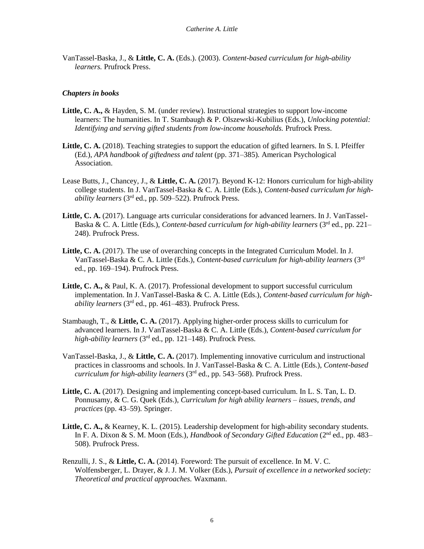VanTassel-Baska, J., & **Little, C. A.** (Eds.). (2003). *Content-based curriculum for high-ability learners.* Prufrock Press.

### *Chapters in books*

- **Little, C. A.,** & Hayden, S. M. (under review). Instructional strategies to support low-income learners: The humanities. In T. Stambaugh & P. Olszewski-Kubilius (Eds.), *Unlocking potential: Identifying and serving gifted students from low-income households.* Prufrock Press.
- Little, C. A. (2018). Teaching strategies to support the education of gifted learners. In S. I. Pfeiffer (Ed.), *APA handbook of giftedness and talent* (pp. 371–385)*.* American Psychological Association.
- Lease Butts, J., Chancey, J., & **Little, C. A.** (2017). Beyond K-12: Honors curriculum for high-ability college students. In J. VanTassel-Baska & C. A. Little (Eds.), *Content-based curriculum for highability learners* (3rd ed., pp. 509–522). Prufrock Press.
- **Little, C. A.** (2017). Language arts curricular considerations for advanced learners. In J. VanTassel-Baska & C. A. Little (Eds.), *Content-based curriculum for high-ability learners* (3<sup>rd</sup> ed., pp. 221– 248). Prufrock Press.
- Little, C. A. (2017). The use of overarching concepts in the Integrated Curriculum Model. In J. VanTassel-Baska & C. A. Little (Eds.), *Content-based curriculum for high-ability learners* (3rd ed., pp. 169–194). Prufrock Press.
- **Little, C. A.,** & Paul, K. A. (2017). Professional development to support successful curriculum implementation. In J. VanTassel-Baska & C. A. Little (Eds.), *Content-based curriculum for highability learners* (3rd ed., pp. 461–483). Prufrock Press.
- Stambaugh, T., & **Little, C. A.** (2017). Applying higher-order process skills to curriculum for advanced learners. In J. VanTassel-Baska & C. A. Little (Eds.), *Content-based curriculum for high-ability learners* (3rd ed., pp. 121–148). Prufrock Press.
- VanTassel-Baska, J., & **Little, C. A.** (2017). Implementing innovative curriculum and instructional practices in classrooms and schools. In J. VanTassel-Baska & C. A. Little (Eds.), *Content-based curriculum for high-ability learners* (3rd ed., pp. 543–568). Prufrock Press.
- **Little, C. A.** (2017). Designing and implementing concept-based curriculum. In L. S. Tan, L. D. Ponnusamy, & C. G. Quek (Eds.), *Curriculum for high ability learners – issues, trends, and practices* (pp. 43–59)*.* Springer.
- **Little, C. A.,** & Kearney, K. L. (2015). Leadership development for high-ability secondary students. In F. A. Dixon & S. M. Moon (Eds.), *Handbook of Secondary Gifted Education* (2<sup>nd</sup> ed., pp. 483– 508). Prufrock Press.
- Renzulli, J. S., & **Little, C. A.** (2014). Foreword: The pursuit of excellence. In M. V. C. Wolfensberger, L. Drayer, & J. J. M. Volker (Eds.), *Pursuit of excellence in a networked society: Theoretical and practical approaches.* Waxmann.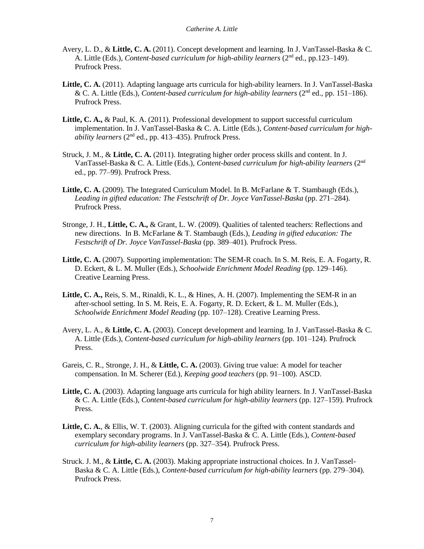- Avery, L. D., & **Little, C. A.** (2011). Concept development and learning. In J. VanTassel-Baska & C. A. Little (Eds.), *Content-based curriculum for high-ability learners* (2<sup>nd</sup> ed., pp.123–149). Prufrock Press.
- Little, C. A. (2011). Adapting language arts curricula for high-ability learners. In J. VanTassel-Baska & C. A. Little (Eds.), *Content-based curriculum for high-ability learners* (2nd ed., pp. 151–186). Prufrock Press.
- **Little, C. A.,** & Paul, K. A. (2011). Professional development to support successful curriculum implementation. In J. VanTassel-Baska & C. A. Little (Eds.), *Content-based curriculum for highability learners*  $(2<sup>nd</sup> ed., pp. 413–435)$ . Prufrock Press.
- Struck, J. M., & **Little, C. A.** (2011). Integrating higher order process skills and content. In J. VanTassel-Baska & C. A. Little (Eds.), *Content-based curriculum for high-ability learners* (2nd ed., pp. 77–99). Prufrock Press.
- **Little, C. A.** (2009). The Integrated Curriculum Model. In B. McFarlane & T. Stambaugh (Eds.), *Leading in gifted education: The Festschrift of Dr. Joyce VanTassel-Baska* (pp. 271–284)*.*  Prufrock Press.
- Stronge, J. H., **Little, C. A.,** & Grant, L. W. (2009). Qualities of talented teachers: Reflections and new directions. In B. McFarlane & T. Stambaugh (Eds.), *Leading in gifted education: The Festschrift of Dr. Joyce VanTassel-Baska* (pp. 389–401)*.* Prufrock Press.
- **Little, C. A.** (2007). Supporting implementation: The SEM-R coach. In S. M. Reis, E. A. Fogarty, R. D. Eckert, & L. M. Muller (Eds.), *Schoolwide Enrichment Model Reading* (pp. 129–146). Creative Learning Press.
- **Little, C. A.,** Reis, S. M., Rinaldi, K. L., & Hines, A. H. (2007). Implementing the SEM-R in an after-school setting. In S. M. Reis, E. A. Fogarty, R. D. Eckert, & L. M. Muller (Eds.), *Schoolwide Enrichment Model Reading* (pp. 107–128). Creative Learning Press.
- Avery, L. A., & **Little, C. A.** (2003). Concept development and learning. In J. VanTassel-Baska & C. A. Little (Eds.), *Content-based curriculum for high-ability learners* (pp. 101–124)*.* Prufrock Press.
- Gareis, C. R., Stronge, J. H., & **Little, C. A.** (2003). Giving true value: A model for teacher compensation. In M. Scherer (Ed.), *Keeping good teachers* (pp. 91–100)*.* ASCD.
- **Little, C. A.** (2003). Adapting language arts curricula for high ability learners. In J. VanTassel-Baska & C. A. Little (Eds.), *Content-based curriculum for high-ability learners* (pp. 127–159)*.* Prufrock Press.
- **Little, C. A.**, & Ellis, W. T. (2003). Aligning curricula for the gifted with content standards and exemplary secondary programs. In J. VanTassel-Baska & C. A. Little (Eds.), *Content-based curriculum for high-ability learners* (pp. 327–354)*.* Prufrock Press.
- Struck. J. M., & **Little, C. A.** (2003). Making appropriate instructional choices. In J. VanTassel-Baska & C. A. Little (Eds.), *Content-based curriculum for high-ability learners* (pp. 279–304)*.*  Prufrock Press.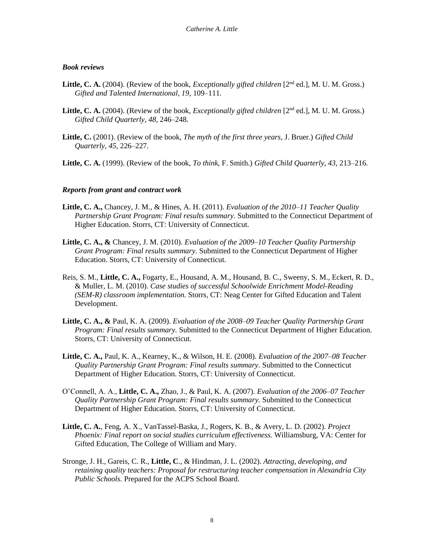### *Book reviews*

- Little, C. A. (2004). (Review of the book, *Exceptionally gifted children* [2<sup>nd</sup> ed.], M. U. M. Gross.) *Gifted and Talented International, 19,* 109–111*.*
- Little, C. A. (2004). (Review of the book, *Exceptionally gifted children* [2<sup>nd</sup> ed.], M. U. M. Gross.) *Gifted Child Quarterly, 48,* 246–248*.*
- **Little, C.** (2001). (Review of the book, *The myth of the first three years,* J. Bruer.) *Gifted Child Quarterly, 45,* 226–227*.*
- **Little, C. A.** (1999). (Review of the book, *To think,* F. Smith.) *Gifted Child Quarterly, 43,* 213–216*.*

### *Reports from grant and contract work*

- **Little, C. A.,** Chancey, J. M., & Hines, A. H. (2011). *Evaluation of the 2010*–*11 Teacher Quality Partnership Grant Program: Final results summary.* Submitted to the Connecticut Department of Higher Education. Storrs, CT: University of Connecticut.
- **Little, C. A., &** Chancey, J. M. (2010). *Evaluation of the 2009*–*10 Teacher Quality Partnership Grant Program: Final results summary.* Submitted to the Connecticut Department of Higher Education. Storrs, CT: University of Connecticut.
- Reis, S. M., **Little, C. A.,** Fogarty, E., Housand, A. M., Housand, B. C., Sweeny, S. M., Eckert, R. D., & Muller, L. M. (2010). *Case studies of successful Schoolwide Enrichment Model-Reading (SEM-R) classroom implementation.* Storrs, CT: Neag Center for Gifted Education and Talent Development.
- **Little, C. A., &** Paul, K. A. (2009). *Evaluation of the 2008*–*09 Teacher Quality Partnership Grant Program: Final results summary.* Submitted to the Connecticut Department of Higher Education. Storrs, CT: University of Connecticut.
- **Little, C. A.,** Paul, K. A., Kearney, K., & Wilson, H. E. (2008). *Evaluation of the 2007*–*08 Teacher Quality Partnership Grant Program: Final results summary.* Submitted to the Connecticut Department of Higher Education. Storrs, CT: University of Connecticut.
- O'Connell, A. A., **Little, C. A.,** Zhao, J., & Paul, K. A. (2007). *Evaluation of the 2006*–*07 Teacher Quality Partnership Grant Program: Final results summary.* Submitted to the Connecticut Department of Higher Education. Storrs, CT: University of Connecticut.
- **Little, C. A.**, Feng, A. X., VanTassel-Baska, J., Rogers, K. B., & Avery, L. D. (2002). *Project Phoenix: Final report on social studies curriculum effectiveness.* Williamsburg, VA: Center for Gifted Education, The College of William and Mary.
- Stronge, J. H., Gareis, C. R., **Little, C**., & Hindman, J. L. (2002). *Attracting, developing, and retaining quality teachers: Proposal for restructuring teacher compensation in Alexandria City Public Schools.* Prepared for the ACPS School Board.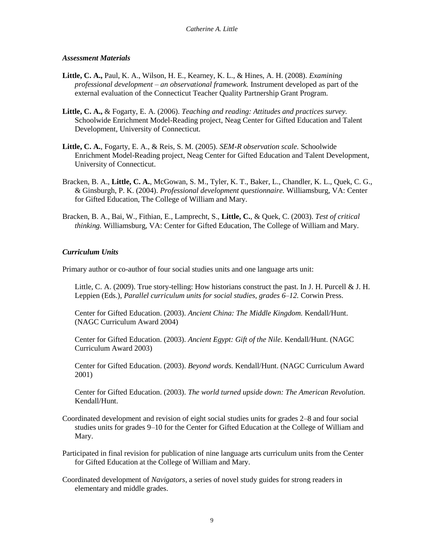### *Assessment Materials*

- **Little, C. A.,** Paul, K. A., Wilson, H. E., Kearney, K. L., & Hines, A. H. (2008). *Examining professional development – an observational framework.* Instrument developed as part of the external evaluation of the Connecticut Teacher Quality Partnership Grant Program.
- **Little, C. A.,** & Fogarty, E. A. (2006). *Teaching and reading: Attitudes and practices survey.*  Schoolwide Enrichment Model-Reading project, Neag Center for Gifted Education and Talent Development, University of Connecticut.
- **Little, C. A.**, Fogarty, E. A., & Reis, S. M. (2005). *SEM-R observation scale.* Schoolwide Enrichment Model-Reading project, Neag Center for Gifted Education and Talent Development, University of Connecticut.
- Bracken, B. A., **Little, C. A.**, McGowan, S. M., Tyler, K. T., Baker, L., Chandler, K. L., Quek, C. G., & Ginsburgh, P. K. (2004). *Professional development questionnaire.* Williamsburg, VA: Center for Gifted Education, The College of William and Mary.
- Bracken, B. A., Bai, W., Fithian, E., Lamprecht, S., **Little, C.**, & Quek, C. (2003). *Test of critical thinking.* Williamsburg, VA: Center for Gifted Education, The College of William and Mary.

# *Curriculum Units*

Primary author or co-author of four social studies units and one language arts unit:

Little, C. A. (2009). True story-telling: How historians construct the past. In J. H. Purcell & J. H. Leppien (Eds.), *Parallel curriculum units for social studies, grades 6*–*12.* Corwin Press.

Center for Gifted Education. (2003). *Ancient China: The Middle Kingdom.* Kendall/Hunt. (NAGC Curriculum Award 2004)

Center for Gifted Education. (2003). *Ancient Egypt: Gift of the Nile.* Kendall/Hunt. (NAGC Curriculum Award 2003)

Center for Gifted Education. (2003). *Beyond words.* Kendall/Hunt. (NAGC Curriculum Award 2001)

Center for Gifted Education. (2003). *The world turned upside down: The American Revolution.*  Kendall/Hunt.

Coordinated development and revision of eight social studies units for grades 2–8 and four social studies units for grades 9–10 for the Center for Gifted Education at the College of William and Mary.

Participated in final revision for publication of nine language arts curriculum units from the Center for Gifted Education at the College of William and Mary.

Coordinated development of *Navigators,* a series of novel study guides for strong readers in elementary and middle grades.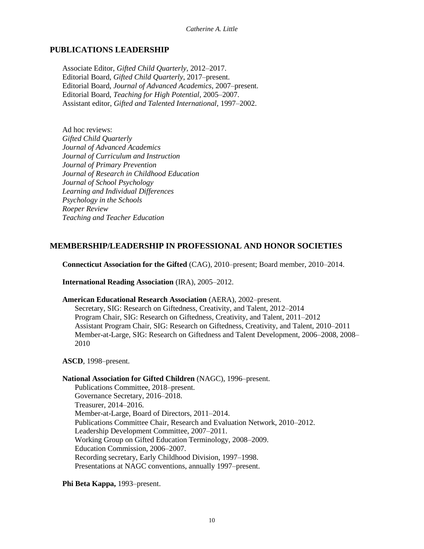## **PUBLICATIONS LEADERSHIP**

Associate Editor, *Gifted Child Quarterly,* 2012–2017. Editorial Board, *Gifted Child Quarterly,* 2017–present. Editorial Board, *Journal of Advanced Academics,* 2007–present. Editorial Board, *Teaching for High Potential,* 2005–2007. Assistant editor, *Gifted and Talented International,* 1997–2002.

Ad hoc reviews: *Gifted Child Quarterly Journal of Advanced Academics Journal of Curriculum and Instruction Journal of Primary Prevention Journal of Research in Childhood Education Journal of School Psychology Learning and Individual Differences Psychology in the Schools Roeper Review Teaching and Teacher Education*

### **MEMBERSHIP/LEADERSHIP IN PROFESSIONAL AND HONOR SOCIETIES**

**Connecticut Association for the Gifted** (CAG), 2010–present; Board member, 2010–2014.

**International Reading Association** (IRA), 2005–2012.

#### **American Educational Research Association** (AERA), 2002–present.

Secretary, SIG: Research on Giftedness, Creativity, and Talent, 2012–2014 Program Chair, SIG: Research on Giftedness, Creativity, and Talent, 2011–2012 Assistant Program Chair, SIG: Research on Giftedness, Creativity, and Talent, 2010–2011 Member-at-Large, SIG: Research on Giftedness and Talent Development, 2006–2008, 2008– 2010

#### **ASCD**, 1998–present.

#### **National Association for Gifted Children** (NAGC), 1996–present.

Publications Committee, 2018–present. Governance Secretary, 2016–2018. Treasurer, 2014–2016. Member-at-Large, Board of Directors, 2011–2014. Publications Committee Chair, Research and Evaluation Network, 2010–2012. Leadership Development Committee, 2007–2011. Working Group on Gifted Education Terminology, 2008–2009. Education Commission, 2006–2007. Recording secretary, Early Childhood Division, 1997–1998. Presentations at NAGC conventions, annually 1997–present.

**Phi Beta Kappa,** 1993–present.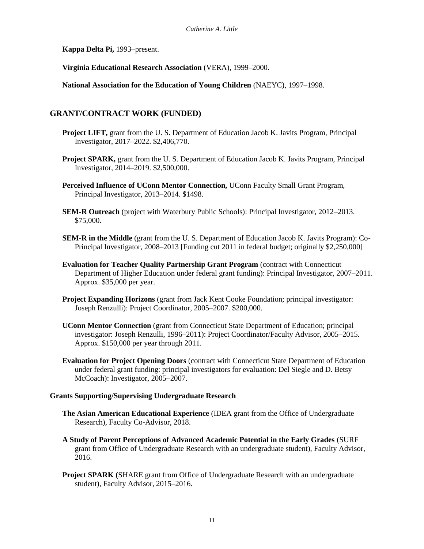**Kappa Delta Pi,** 1993–present.

**Virginia Educational Research Association** (VERA), 1999–2000.

**National Association for the Education of Young Children** (NAEYC), 1997–1998.

# **GRANT/CONTRACT WORK (FUNDED)**

- **Project LIFT,** grant from the U. S. Department of Education Jacob K. Javits Program, Principal Investigator, 2017–2022. \$2,406,770.
- **Project SPARK,** grant from the U.S. Department of Education Jacob K. Javits Program, Principal Investigator, 2014–2019. \$2,500,000.
- **Perceived Influence of UConn Mentor Connection,** UConn Faculty Small Grant Program, Principal Investigator, 2013–2014. \$1498.
- **SEM-R Outreach** (project with Waterbury Public Schools): Principal Investigator, 2012–2013. \$75,000.
- **SEM-R in the Middle** (grant from the U. S. Department of Education Jacob K. Javits Program): Co-Principal Investigator, 2008–2013 [Funding cut 2011 in federal budget; originally \$2,250,000]
- **Evaluation for Teacher Quality Partnership Grant Program** (contract with Connecticut Department of Higher Education under federal grant funding): Principal Investigator, 2007–2011. Approx. \$35,000 per year.
- **Project Expanding Horizons** (grant from Jack Kent Cooke Foundation; principal investigator: Joseph Renzulli): Project Coordinator, 2005–2007. \$200,000.
- **UConn Mentor Connection** (grant from Connecticut State Department of Education; principal investigator: Joseph Renzulli, 1996–2011): Project Coordinator/Faculty Advisor, 2005–2015. Approx. \$150,000 per year through 2011.
- **Evaluation for Project Opening Doors** (contract with Connecticut State Department of Education under federal grant funding: principal investigators for evaluation: Del Siegle and D. Betsy McCoach): Investigator, 2005–2007.

#### **Grants Supporting/Supervising Undergraduate Research**

- **The Asian American Educational Experience** (IDEA grant from the Office of Undergraduate Research), Faculty Co-Advisor, 2018.
- **A Study of Parent Perceptions of Advanced Academic Potential in the Early Grades** (SURF grant from Office of Undergraduate Research with an undergraduate student), Faculty Advisor, 2016.
- **Project SPARK (SHARE grant from Office of Undergraduate Research with an undergraduate** student), Faculty Advisor, 2015–2016.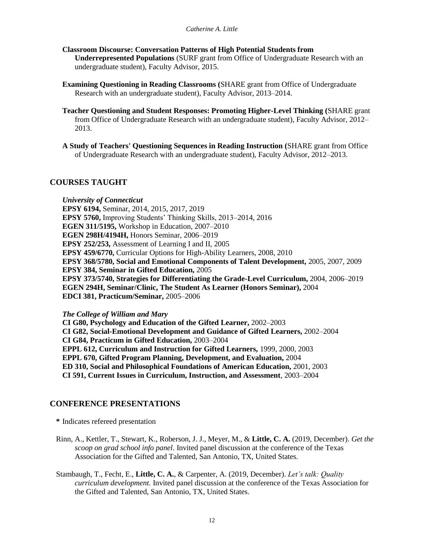- **Classroom Discourse: Conversation Patterns of High Potential Students from Underrepresented Populations** (SURF grant from Office of Undergraduate Research with an undergraduate student), Faculty Advisor, 2015.
- **Examining Questioning in Reading Classrooms (**SHARE grant from Office of Undergraduate Research with an undergraduate student), Faculty Advisor, 2013–2014.
- **Teacher Questioning and Student Responses: Promoting Higher-Level Thinking (**SHARE grant from Office of Undergraduate Research with an undergraduate student), Faculty Advisor, 2012– 2013.
- **A Study of Teachers' Questioning Sequences in Reading Instruction (**SHARE grant from Office of Undergraduate Research with an undergraduate student), Faculty Advisor, 2012–2013.

### **COURSES TAUGHT**

*University of Connecticut* **EPSY 6194,** Seminar, 2014, 2015, 2017, 2019 **EPSY 5760,** Improving Students' Thinking Skills, 2013–2014, 2016 **EGEN 311/5195,** Workshop in Education, 2007–2010 **EGEN 298H/4194H,** Honors Seminar, 2006–2019 **EPSY 252/253,** Assessment of Learning I and II, 2005 **EPSY 459/6770,** Curricular Options for High-Ability Learners, 2008, 2010 **EPSY 368/5780, Social and Emotional Components of Talent Development,** 2005, 2007, 2009 **EPSY 384, Seminar in Gifted Education,** 2005 **EPSY 373/5740, Strategies for Differentiating the Grade-Level Curriculum,** 2004, 2006–2019 **EGEN 294H, Seminar/Clinic, The Student As Learner (Honors Seminar),** 2004 **EDCI 381, Practicum/Seminar,** 2005–2006

*The College of William and Mary*

**CI G80, Psychology and Education of the Gifted Learner,** 2002–2003 **CI G82, Social-Emotional Development and Guidance of Gifted Learners,** 2002–2004 **CI G84, Practicum in Gifted Education,** 2003–2004 **EPPL 612, Curriculum and Instruction for Gifted Learners,** 1999, 2000, 2003 **EPPL 670, Gifted Program Planning, Development, and Evaluation,** 2004 **ED 310, Social and Philosophical Foundations of American Education,** 2001, 2003 **CI 591, Current Issues in Curriculum, Instruction, and Assessment**, 2003–2004

# **CONFERENCE PRESENTATIONS**

**\*** Indicates refereed presentation

- Rinn, A., Kettler, T., Stewart, K., Roberson, J. J., Meyer, M., & **Little, C. A.** (2019, December). *Get the scoop on grad school info panel.* Invited panel discussion at the conference of the Texas Association for the Gifted and Talented, San Antonio, TX, United States.
- Stambaugh, T., Fecht, E., **Little, C. A.**, & Carpenter, A. (2019, December). *Let's talk: Quality curriculum development.* Invited panel discussion at the conference of the Texas Association for the Gifted and Talented, San Antonio, TX, United States.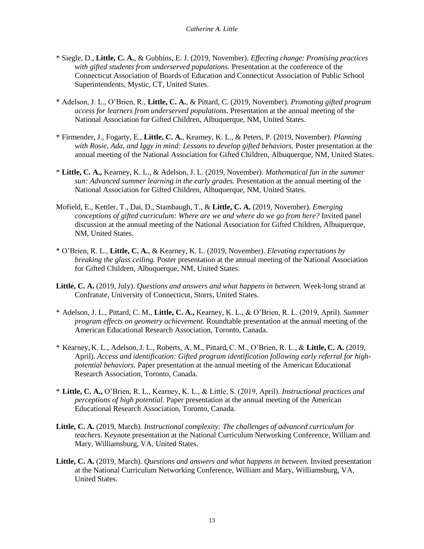- \* Siegle, D., **Little, C. A.**, & Gubbins, E. J. (2019, November). *Effecting change: Promising practices with gifted students from underserved populations.* Presentation at the conference of the Connecticut Association of Boards of Education and Connecticut Association of Public School Superintendents, Mystic, CT, United States.
- \* Adelson, J. L., O'Brien, R., **Little, C. A.**, & Pittard, C. (2019, November). *Promoting gifted program access for learners from underserved populations.* Presentation at the annual meeting of the National Association for Gifted Children, Albuquerque, NM, United States.
- \* Firmender, J., Fogarty, E., **Little, C. A.**, Kearney, K. L., & Peters, P. (2019, November). *Planning*  with Rosie, Ada, and Iggy in mind: Lessons to develop gifted behaviors. Poster presentation at the annual meeting of the National Association for Gifted Children, Albuquerque, NM, United States.
- \* **Little, C. A.,** Kearney, K. L., & Adelson, J. L. (2019, November). *Mathematical fun in the summer sun: Advanced summer learning in the early grades.* Presentation at the annual meeting of the National Association for Gifted Children, Albuquerque, NM, United States.
- Mofield, E., Kettler, T., Dai, D., Stambaugh, T., & **Little, C. A.** (2019, November). *Emerging conceptions of gifted curriculum: Where are we and where do we go from here?* Invited panel discussion at the annual meeting of the National Association for Gifted Children, Albuquerque, NM, United States.
- \* O'Brien, R. L., **Little, C. A.**, & Kearney, K. L. (2019, November). *Elevating expectations by breaking the glass ceiling.* Poster presentation at the annual meeting of the National Association for Gifted Children, Albuquerque, NM, United States.
- **Little, C. A.** (2019, July). *Questions and answers and what happens in between.* Week-long strand at Confratute, University of Connecticut, Storrs, United States.
- \* Adelson, J. L., Pittard, C. M., **Little, C. A.,** Kearney, K. L., & O'Brien, R. L. (2019, April). *Summer program effects on geometry achievement.* Roundtable presentation at the annual meeting of the American Educational Research Association, Toronto, Canada.
- \* Kearney, K. L., Adelson,J. L., Roberts, A. M., Pittard,C. M., O'Brien, R. L., & **Little, C. A.** (2019, April). *Access and identification: Gifted program identification following early referral for highpotential behaviors.* Paper presentation at the annual meeting of the American Educational Research Association, Toronto, Canada.
- \* **Little, C. A.,** O'Brien, R. L., Kearney, K. L., & Little, S. (2019, April). *Instructional practices and perceptions of high potential.* Paper presentation at the annual meeting of the American Educational Research Association, Toronto, Canada.
- **Little, C. A.** (2019, March). *Instructional complexity: The challenges of advanced curriculum for teachers.* Keynote presentation at the National Curriculum Networking Conference, William and Mary, Williamsburg, VA, United States.
- **Little, C. A.** (2019, March). *Questions and answers and what happens in between.* Invited presentation at the National Curriculum Networking Conference, William and Mary, Williamsburg, VA, United States.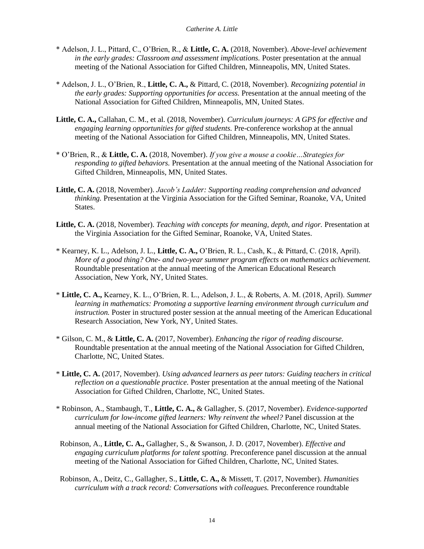- \* Adelson, J. L., Pittard, C., O'Brien, R., & **Little, C. A.** (2018, November). *Above-level achievement in the early grades: Classroom and assessment implications.* Poster presentation at the annual meeting of the National Association for Gifted Children, Minneapolis, MN, United States.
- \* Adelson, J. L., O'Brien, R., **Little, C. A.,** & Pittard, C. (2018, November). *Recognizing potential in the early grades: Supporting opportunities for access.* Presentation at the annual meeting of the National Association for Gifted Children, Minneapolis, MN, United States.
- **Little, C. A.,** Callahan, C. M., et al. (2018, November). *Curriculum journeys: A GPS for effective and engaging learning opportunities for gifted students.* Pre-conference workshop at the annual meeting of the National Association for Gifted Children, Minneapolis, MN, United States.
- \* O'Brien, R., & **Little, C. A.** (2018, November). *If you give a mouse a cookie…Strategies for responding to gifted behaviors.* Presentation at the annual meeting of the National Association for Gifted Children, Minneapolis, MN, United States.
- **Little, C. A.** (2018, November). *Jacob's Ladder: Supporting reading comprehension and advanced thinking.* Presentation at the Virginia Association for the Gifted Seminar, Roanoke, VA, United States.
- Little, C. A. (2018, November). *Teaching with concepts for meaning, depth, and rigor.* Presentation at the Virginia Association for the Gifted Seminar, Roanoke, VA, United States.
- \* Kearney, K. L., Adelson, J. L., **Little, C. A.,** O'Brien, R. L., Cash, K., & Pittard, C. (2018, April). *More of a good thing? One- and two-year summer program effects on mathematics achievement.*  Roundtable presentation at the annual meeting of the American Educational Research Association, New York, NY, United States.
- \* **Little, C. A.,** Kearney, K. L., O'Brien, R. L., Adelson, J. L., & Roberts, A. M. (2018, April). *Summer learning in mathematics: Promoting a supportive learning environment through curriculum and instruction.* Poster in structured poster session at the annual meeting of the American Educational Research Association, New York, NY, United States.
- \* Gilson, C. M., & **Little, C. A.** (2017, November). *Enhancing the rigor of reading discourse.*  Roundtable presentation at the annual meeting of the National Association for Gifted Children, Charlotte, NC, United States.
- \* **Little, C. A.** (2017, November). *Using advanced learners as peer tutors: Guiding teachers in critical reflection on a questionable practice.* Poster presentation at the annual meeting of the National Association for Gifted Children, Charlotte, NC, United States.
- \* Robinson, A., Stambaugh, T., **Little, C. A.,** & Gallagher, S. (2017, November). *Evidence-supported curriculum for low-income gifted learners: Why reinvent the wheel?* Panel discussion at the annual meeting of the National Association for Gifted Children, Charlotte, NC, United States.
- Robinson, A., **Little, C. A.,** Gallagher, S., & Swanson, J. D. (2017, November). *Effective and engaging curriculum platforms for talent spotting.* Preconference panel discussion at the annual meeting of the National Association for Gifted Children, Charlotte, NC, United States.
- Robinson, A., Deitz, C., Gallagher, S., **Little, C. A.,** & Missett, T. (2017, November). *Humanities curriculum with a track record: Conversations with colleagues.* Preconference roundtable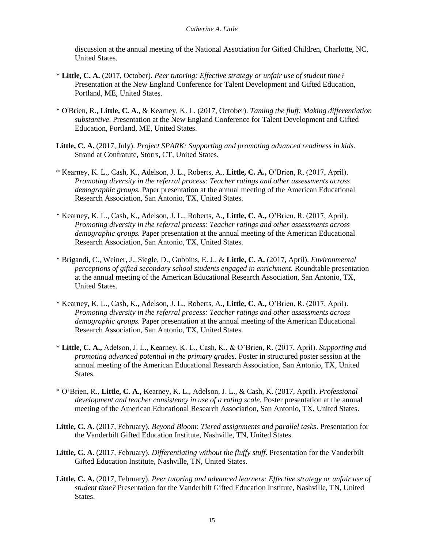discussion at the annual meeting of the National Association for Gifted Children, Charlotte, NC, United States.

- \* **Little, C. A.** (2017, October). *Peer tutoring: Effective strategy or unfair use of student time?*  Presentation at the New England Conference for Talent Development and Gifted Education, Portland, ME, United States.
- \* O'Brien, R., **Little, C. A.**, & Kearney, K. L. (2017, October). *Taming the fluff: Making differentiation substantive*. Presentation at the New England Conference for Talent Development and Gifted Education, Portland, ME, United States.
- **Little, C. A.** (2017, July). *Project SPARK: Supporting and promoting advanced readiness in kids*. Strand at Confratute, Storrs, CT, United States.
- \* Kearney, K. L., Cash, K., Adelson, J. L., Roberts, A., **Little, C. A.,** O'Brien, R. (2017, April). *Promoting diversity in the referral process: Teacher ratings and other assessments across demographic groups.* Paper presentation at the annual meeting of the American Educational Research Association, San Antonio, TX, United States.
- \* Kearney, K. L., Cash, K., Adelson, J. L., Roberts, A., **Little, C. A.,** O'Brien, R. (2017, April). *Promoting diversity in the referral process: Teacher ratings and other assessments across demographic groups.* Paper presentation at the annual meeting of the American Educational Research Association, San Antonio, TX, United States.
- \* Brigandi, C., Weiner, J., Siegle, D., Gubbins, E. J., & **Little, C. A.** (2017, April). *Environmental perceptions of gifted secondary school students engaged in enrichment.* Roundtable presentation at the annual meeting of the American Educational Research Association, San Antonio, TX, United States.
- \* Kearney, K. L., Cash, K., Adelson, J. L., Roberts, A., **Little, C. A.,** O'Brien, R. (2017, April). *Promoting diversity in the referral process: Teacher ratings and other assessments across demographic groups.* Paper presentation at the annual meeting of the American Educational Research Association, San Antonio, TX, United States.
- \* **Little, C. A.,** Adelson, J. L., Kearney, K. L., Cash, K., & O'Brien, R. (2017, April). *Supporting and promoting advanced potential in the primary grades.* Poster in structured poster session at the annual meeting of the American Educational Research Association, San Antonio, TX, United States.
- \* O'Brien, R., **Little, C. A.,** Kearney, K. L., Adelson, J. L., & Cash, K. (2017, April). *Professional development and teacher consistency in use of a rating scale.* Poster presentation at the annual meeting of the American Educational Research Association, San Antonio, TX, United States.
- **Little, C. A.** (2017, February). *Beyond Bloom: Tiered assignments and parallel tasks*. Presentation for the Vanderbilt Gifted Education Institute, Nashville, TN, United States.
- **Little, C. A.** (2017, February). *Differentiating without the fluffy stuff*. Presentation for the Vanderbilt Gifted Education Institute, Nashville, TN, United States.
- **Little, C. A.** (2017, February). *Peer tutoring and advanced learners: Effective strategy or unfair use of student time?* Presentation for the Vanderbilt Gifted Education Institute, Nashville, TN, United States.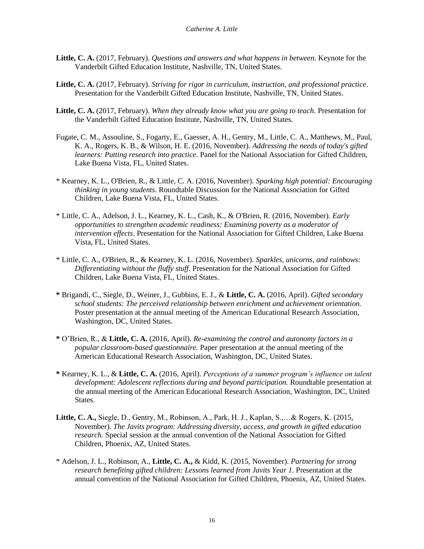- **Little, C. A.** (2017, February). *Questions and answers and what happens in between*. Keynote for the Vanderbilt Gifted Education Institute, Nashville, TN, United States.
- **Little, C. A.** (2017, February). *Striving for rigor in curriculum, instruction, and professional practice*. Presentation for the Vanderbilt Gifted Education Institute, Nashville, TN, United States.
- **Little, C. A.** (2017, February). *When they already know what you are going to teach*. Presentation for the Vanderbilt Gifted Education Institute, Nashville, TN, United States.
- Fugate, C. M., Assouline, S., Fogarty, E., Gaesser, A. H., Gentry, M., Little, C. A., Matthews, M., Paul, K. A., Rogers, K. B., & Wilson, H. E. (2016, November). *Addressing the needs of today's gifted learners: Putting research into practice*. Panel for the National Association for Gifted Children, Lake Buena Vista, FL, United States.
- \* Kearney, K. L., O'Brien, R., & Little, C. A. (2016, November). *Sparking high potential: Encouraging thinking in young students*. Roundtable Discussion for the National Association for Gifted Children, Lake Buena Vista, FL, United States.
- \* Little, C. A., Adelson, J. L., Kearney, K. L., Cash, K., & O'Brien, R. (2016, November). *Early opportunities to strengthen academic readiness: Examining poverty as a moderator of intervention effects*. Presentation for the National Association for Gifted Children, Lake Buena Vista, FL, United States.
- \* Little, C. A., O'Brien, R., & Kearney, K. L. (2016, November). *Sparkles, unicorns, and rainbows: Differentiating without the fluffy stuff*. Presentation for the National Association for Gifted Children, Lake Buena Vista, FL, United States.
- **\*** Brigandi, C., Siegle, D., Weiner, J., Gubbins, E. J., & **Little, C. A.** (2016, April). *Gifted secondary school students: The perceived relationship between enrichment and achievement orientation.*  Poster presentation at the annual meeting of the American Educational Research Association, Washington, DC, United States.
- **\*** O'Brien, R., & **Little, C. A.** (2016, April). *Re-examining the control and autonomy factors in a popular classroom-based questionnaire.* Paper presentation at the annual meeting of the American Educational Research Association, Washington, DC, United States.
- **\*** Kearney, K. L., & **Little, C. A.** (2016, April). *Perceptions of a summer program's influence on talent development: Adolescent reflections during and beyond participation.* Roundtable presentation at the annual meeting of the American Educational Research Association, Washington, DC, United States.
- **Little, C. A.,** Siegle, D., Gentry, M., Robinson, A., Park, H. J., Kaplan, S.,…& Rogers, K. (2015, November). *The Javits program: Addressing diversity, access, and growth in gifted education research.* Special session at the annual convention of the National Association for Gifted Children, Phoenix, AZ, United States.
- \* Adelson, J. L., Robinson, A., **Little, C. A.,** & Kidd, K. (2015, November). *Partnering for strong*  research benefiting gifted children: Lessons learned from Javits Year 1. Presentation at the annual convention of the National Association for Gifted Children, Phoenix, AZ, United States.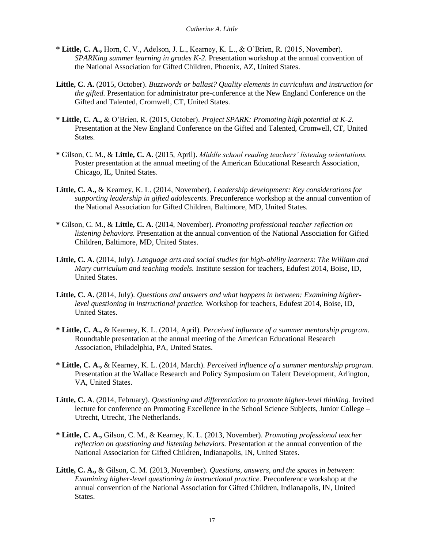- **\* Little, C. A.,** Horn, C. V., Adelson, J. L., Kearney, K. L., & O'Brien, R. (2015, November). *SPARKing summer learning in grades K-2.* Presentation workshop at the annual convention of the National Association for Gifted Children, Phoenix, AZ, United States.
- **Little, C. A.** (2015, October). *Buzzwords or ballast? Quality elements in curriculum and instruction for the gifted.* Presentation for administrator pre-conference at the New England Conference on the Gifted and Talented, Cromwell, CT, United States.
- **\* Little, C. A.,** & O'Brien, R. (2015, October). *Project SPARK: Promoting high potential at K-2.*  Presentation at the New England Conference on the Gifted and Talented, Cromwell, CT, United States.
- **\*** Gilson, C. M., & **Little, C. A.** (2015, April). *Middle school reading teachers' listening orientations.*  Poster presentation at the annual meeting of the American Educational Research Association, Chicago, IL, United States.
- **Little, C. A.,** & Kearney, K. L. (2014, November). *Leadership development: Key considerations for supporting leadership in gifted adolescents.* Preconference workshop at the annual convention of the National Association for Gifted Children, Baltimore, MD, United States.
- **\*** Gilson, C. M., & **Little, C. A.** (2014, November). *Promoting professional teacher reflection on listening behaviors.* Presentation at the annual convention of the National Association for Gifted Children, Baltimore, MD, United States.
- **Little, C. A.** (2014, July). *Language arts and social studies for high-ability learners: The William and Mary curriculum and teaching models.* Institute session for teachers, Edufest 2014, Boise, ID, United States.
- **Little, C. A.** (2014, July). *Questions and answers and what happens in between: Examining higherlevel questioning in instructional practice.* Workshop for teachers, Edufest 2014, Boise, ID, United States.
- **\* Little, C. A.,** & Kearney, K. L. (2014, April). *Perceived influence of a summer mentorship program.*  Roundtable presentation at the annual meeting of the American Educational Research Association, Philadelphia, PA, United States.
- **\* Little, C. A.,** & Kearney, K. L. (2014, March). *Perceived influence of a summer mentorship program.*  Presentation at the Wallace Research and Policy Symposium on Talent Development, Arlington, VA, United States.
- **Little, C. A**. (2014, February). *Questioning and differentiation to promote higher-level thinking.* Invited lecture for conference on Promoting Excellence in the School Science Subjects, Junior College – Utrecht, Utrecht, The Netherlands.
- **\* Little, C. A.,** Gilson, C. M., & Kearney, K. L. (2013, November). *Promoting professional teacher reflection on questioning and listening behaviors.* Presentation at the annual convention of the National Association for Gifted Children, Indianapolis, IN, United States.
- **Little, C. A.,** & Gilson, C. M. (2013, November). *Questions, answers, and the spaces in between: Examining higher-level questioning in instructional practice.* Preconference workshop at the annual convention of the National Association for Gifted Children, Indianapolis, IN, United States.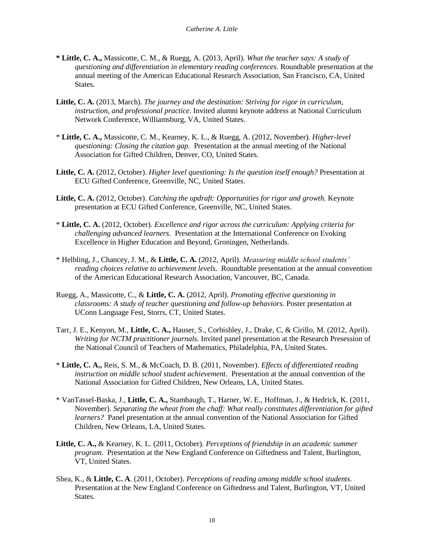- **\* Little, C. A.,** Massicotte, C. M., & Ruegg, A. (2013, April). *What the teacher says: A study of questioning and differentiation in elementary reading conferences.* Roundtable presentation at the annual meeting of the American Educational Research Association, San Francisco, CA, United States.
- **Little, C. A.** (2013, March). *The journey and the destination: Striving for rigor in curriculum, instruction, and professional practice.* Invited alumni keynote address at National Curriculum Network Conference, Williamsburg, VA, United States.
- \* **Little, C. A.,** Massicotte, C. M., Kearney, K. L., & Ruegg, A. (2012, November). *Higher-level questioning: Closing the citation gap.* Presentation at the annual meeting of the National Association for Gifted Children, Denver, CO, United States.
- **Little, C. A.** (2012, October). *Higher level questioning: Is the question itself enough?* Presentation at ECU Gifted Conference, Greenville, NC, United States.
- Little, C. A. (2012, October). *Catching the updraft: Opportunities for rigor and growth.* Keynote presentation at ECU Gifted Conference, Greenville, NC, United States.
- \* **Little, C. A.** (2012, October). *Excellence and rigor across the curriculum: Applying criteria for challenging advanced learners.* Presentation at the International Conference on Evoking Excellence in Higher Education and Beyond, Groningen, Netherlands.
- \* Helbling, J., Chancey, J. M., & **Little, C. A.** (2012, April). *Measuring middle school students' reading choices relative to achievement levels.* Roundtable presentation at the annual convention of the American Educational Research Association, Vancouver, BC, Canada.
- Ruegg, A., Massicotte, C., & **Little, C. A.** (2012, April). *Promoting effective questioning in classrooms: A study of teacher questioning and follow-up behaviors.* Poster presentation at UConn Language Fest, Storrs, CT, United States.
- Tarr, J. E., Kenyon, M., **Little, C. A.,** Hauser, S., Corbishley, J., Drake, C, & Cirillo, M. (2012, April). *Writing for NCTM practitioner journals.* Invited panel presentation at the Research Presession of the National Council of Teachers of Mathematics, Philadelphia, PA, United States.
- \* **Little, C. A.,** Reis, S. M., & McCoach, D. B. (2011, November). *Effects of differentiated reading instruction on middle school student achievement.* Presentation at the annual convention of the National Association for Gifted Children, New Orleans, LA, United States.
- \* VanTassel-Baska, J., **Little, C. A.,** Stambaugh, T., Harner, W. E., Hoffman, J., & Hedrick, K. (2011, November). *Separating the wheat from the chaff: What really constitutes differentiation for gifted learners?* Panel presentation at the annual convention of the National Association for Gifted Children, New Orleans, LA, United States.
- **Little, C. A.,** & Kearney, K. L. (2011, October). *Perceptions of friendship in an academic summer program.* Presentation at the New England Conference on Giftedness and Talent, Burlington, VT, United States.
- Shea, K., & **Little, C. A**. (2011, October). *Perceptions of reading among middle school students.* Presentation at the New England Conference on Giftedness and Talent, Burlington, VT, United States.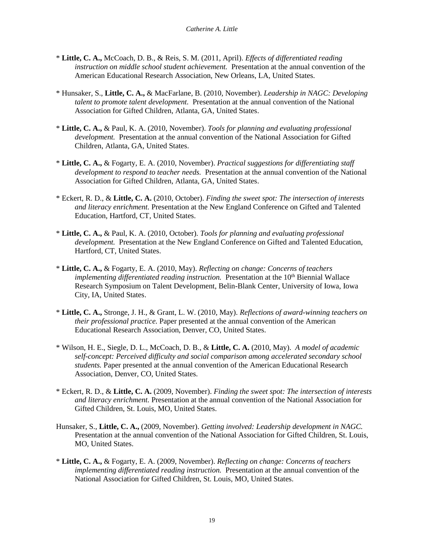- \* **Little, C. A.,** McCoach, D. B., & Reis, S. M. (2011, April). *Effects of differentiated reading instruction on middle school student achievement.* Presentation at the annual convention of the American Educational Research Association, New Orleans, LA, United States.
- \* Hunsaker, S., **Little, C. A.,** & MacFarlane, B. (2010, November). *Leadership in NAGC: Developing talent to promote talent development.* Presentation at the annual convention of the National Association for Gifted Children, Atlanta, GA, United States.
- \* **Little, C. A.,** & Paul, K. A. (2010, November). *Tools for planning and evaluating professional development.* Presentation at the annual convention of the National Association for Gifted Children, Atlanta, GA, United States.
- \* **Little, C. A.,** & Fogarty, E. A. (2010, November). *Practical suggestions for differentiating staff development to respond to teacher needs.* Presentation at the annual convention of the National Association for Gifted Children, Atlanta, GA, United States.
- \* Eckert, R. D., & **Little, C. A.** (2010, October). *Finding the sweet spot: The intersection of interests and literacy enrichment.* Presentation at the New England Conference on Gifted and Talented Education, Hartford, CT, United States.
- \* **Little, C. A.,** & Paul, K. A. (2010, October). *Tools for planning and evaluating professional development.* Presentation at the New England Conference on Gifted and Talented Education, Hartford, CT, United States.
- \* **Little, C. A.,** & Fogarty, E. A. (2010, May). *Reflecting on change: Concerns of teachers implementing differentiated reading instruction.* Presentation at the 10<sup>th</sup> Biennial Wallace Research Symposium on Talent Development, Belin-Blank Center, University of Iowa, Iowa City, IA, United States.
- \* **Little, C. A.,** Stronge, J. H., & Grant, L. W. (2010, May). *Reflections of award-winning teachers on their professional practice.* Paper presented at the annual convention of the American Educational Research Association, Denver, CO, United States.
- \* Wilson, H. E., Siegle, D. L., McCoach, D. B., & **Little, C. A.** (2010, May). *A model of academic self-concept: Perceived difficulty and social comparison among accelerated secondary school students.* Paper presented at the annual convention of the American Educational Research Association, Denver, CO, United States.
- \* Eckert, R. D., & **Little, C. A.** (2009, November). *Finding the sweet spot: The intersection of interests and literacy enrichment.* Presentation at the annual convention of the National Association for Gifted Children, St. Louis, MO, United States.
- Hunsaker, S., **Little, C. A.,** (2009, November). *Getting involved: Leadership development in NAGC.*  Presentation at the annual convention of the National Association for Gifted Children, St. Louis, MO, United States.
- \* **Little, C. A.,** & Fogarty, E. A. (2009, November). *Reflecting on change: Concerns of teachers implementing differentiated reading instruction.* Presentation at the annual convention of the National Association for Gifted Children, St. Louis, MO, United States.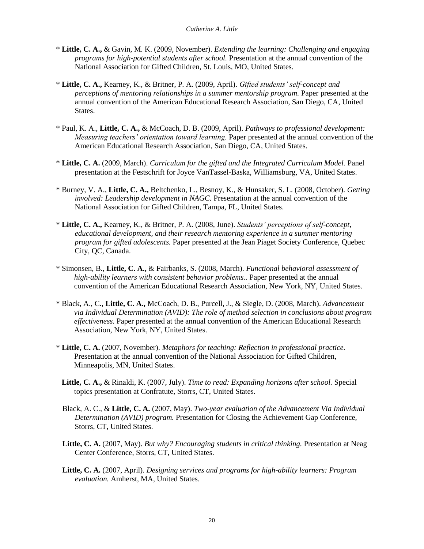- \* **Little, C. A.,** & Gavin, M. K. (2009, November). *Extending the learning: Challenging and engaging programs for high-potential students after school.* Presentation at the annual convention of the National Association for Gifted Children, St. Louis, MO, United States.
- \* **Little, C. A.,** Kearney, K., & Britner, P. A. (2009, April). *Gifted students' self-concept and perceptions of mentoring relationships in a summer mentorship program.* Paper presented at the annual convention of the American Educational Research Association, San Diego, CA, United States.
- \* Paul, K. A., **Little, C. A.,** & McCoach, D. B. (2009, April). *Pathways to professional development: Measuring teachers' orientation toward learning.* Paper presented at the annual convention of the American Educational Research Association, San Diego, CA, United States.
- \* **Little, C. A.** (2009, March). *Curriculum for the gifted and the Integrated Curriculum Model.* Panel presentation at the Festschrift for Joyce VanTassel-Baska, Williamsburg, VA, United States.
- \* Burney, V. A., **Little, C. A.,** Beltchenko, L., Besnoy, K., & Hunsaker, S. L. (2008, October). *Getting involved: Leadership development in NAGC.* Presentation at the annual convention of the National Association for Gifted Children, Tampa, FL, United States.
- \* **Little, C. A.,** Kearney, K., & Britner, P. A. (2008, June). *Students' perceptions of self-concept, educational development, and their research mentoring experience in a summer mentoring program for gifted adolescents.* Paper presented at the Jean Piaget Society Conference, Quebec City, QC, Canada.
- \* Simonsen, B., **Little, C. A.,** & Fairbanks, S. (2008, March). *Functional behavioral assessment of high-ability learners with consistent behavior problems.. Paper presented at the annual* convention of the American Educational Research Association, New York, NY, United States.
- \* Black, A., C., **Little, C. A.,** McCoach, D. B., Purcell, J., & Siegle, D. (2008, March). *Advancement via Individual Determination (AVID): The role of method selection in conclusions about program effectiveness.* Paper presented at the annual convention of the American Educational Research Association, New York, NY, United States.
- \* **Little, C. A.** (2007, November). *Metaphors for teaching: Reflection in professional practice.* Presentation at the annual convention of the National Association for Gifted Children, Minneapolis, MN, United States.
- **Little, C. A.,** & Rinaldi, K. (2007, July). *Time to read: Expanding horizons after school.* Special topics presentation at Confratute, Storrs, CT, United States.
- Black, A. C., & **Little, C. A.** (2007, May). *Two-year evaluation of the Advancement Via Individual Determination (AVID) program.* Presentation for Closing the Achievement Gap Conference, Storrs, CT, United States.
- **Little, C. A.** (2007, May). *But why? Encouraging students in critical thinking.* Presentation at Neag Center Conference, Storrs, CT, United States.
- **Little, C. A.** (2007, April). *Designing services and programs for high-ability learners: Program evaluation.* Amherst, MA, United States.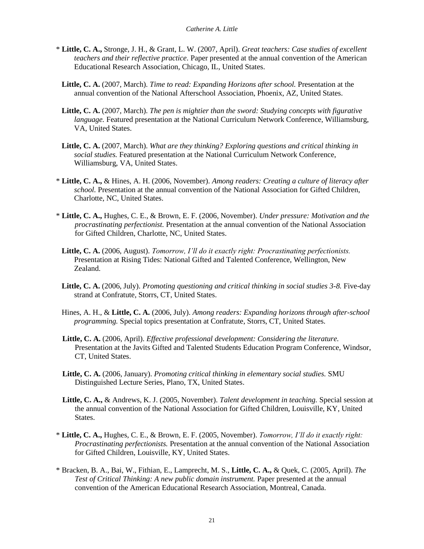- \* **Little, C. A.,** Stronge, J. H., & Grant, L. W. (2007, April). *Great teachers: Case studies of excellent teachers and their reflective practice.* Paper presented at the annual convention of the American Educational Research Association, Chicago, IL, United States.
- **Little, C. A.** (2007, March). *Time to read: Expanding Horizons after school.* Presentation at the annual convention of the National Afterschool Association, Phoenix, AZ, United States.
- **Little, C. A.** (2007, March). *The pen is mightier than the sword: Studying concepts with figurative language.* Featured presentation at the National Curriculum Network Conference, Williamsburg, VA, United States.
- **Little, C. A.** (2007, March). *What are they thinking? Exploring questions and critical thinking in social studies.* Featured presentation at the National Curriculum Network Conference, Williamsburg, VA, United States.
- \* **Little, C. A.,** & Hines, A. H. (2006, November). *Among readers: Creating a culture of literacy after school.* Presentation at the annual convention of the National Association for Gifted Children, Charlotte, NC, United States.
- \* **Little, C. A.,** Hughes, C. E., & Brown, E. F. (2006, November). *Under pressure: Motivation and the procrastinating perfectionist.* Presentation at the annual convention of the National Association for Gifted Children, Charlotte, NC, United States.
- **Little, C. A.** (2006, August). *Tomorrow, I'll do it exactly right: Procrastinating perfectionists.*  Presentation at Rising Tides: National Gifted and Talented Conference, Wellington, New Zealand.
- Little, C. A. (2006, July). *Promoting questioning and critical thinking in social studies 3-8*. Five-day strand at Confratute, Storrs, CT, United States.
- Hines, A. H., & **Little, C. A.** (2006, July). *Among readers: Expanding horizons through after-school programming.* Special topics presentation at Confratute, Storrs, CT, United States.
- **Little, C. A.** (2006, April). *Effective professional development: Considering the literature.* Presentation at the Javits Gifted and Talented Students Education Program Conference, Windsor, CT, United States.
- **Little, C. A.** (2006, January). *Promoting critical thinking in elementary social studies.* SMU Distinguished Lecture Series, Plano, TX, United States.
- **Little, C. A.,** & Andrews, K. J. (2005, November). *Talent development in teaching.* Special session at the annual convention of the National Association for Gifted Children, Louisville, KY, United States.
- \* **Little, C. A.,** Hughes, C. E., & Brown, E. F. (2005, November). *Tomorrow, I'll do it exactly right: Procrastinating perfectionists.* Presentation at the annual convention of the National Association for Gifted Children, Louisville, KY, United States.
- \* Bracken, B. A., Bai, W., Fithian, E., Lamprecht, M. S., **Little, C. A.,** & Quek, C. (2005, April). *The Test of Critical Thinking: A new public domain instrument.* Paper presented at the annual convention of the American Educational Research Association, Montreal, Canada.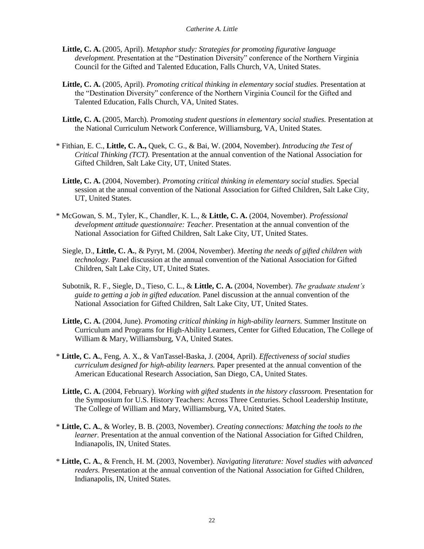- **Little, C. A.** (2005, April). *Metaphor study: Strategies for promoting figurative language development.* Presentation at the "Destination Diversity" conference of the Northern Virginia Council for the Gifted and Talented Education, Falls Church, VA, United States.
- **Little, C. A.** (2005, April). *Promoting critical thinking in elementary social studies.* Presentation at the "Destination Diversity" conference of the Northern Virginia Council for the Gifted and Talented Education, Falls Church, VA, United States.
- **Little, C. A.** (2005, March). *Promoting student questions in elementary social studies.* Presentation at the National Curriculum Network Conference, Williamsburg, VA, United States.
- \* Fithian, E. C., **Little, C. A.,** Quek, C. G., & Bai, W. (2004, November). *Introducing the Test of Critical Thinking (TCT).* Presentation at the annual convention of the National Association for Gifted Children, Salt Lake City, UT, United States.
- **Little, C. A.** (2004, November). *Promoting critical thinking in elementary social studies.* Special session at the annual convention of the National Association for Gifted Children, Salt Lake City, UT, United States.
- \* McGowan, S. M., Tyler, K., Chandler, K. L., & **Little, C. A.** (2004, November). *Professional development attitude questionnaire: Teacher.* Presentation at the annual convention of the National Association for Gifted Children, Salt Lake City, UT, United States.
	- Siegle, D., **Little, C. A.**, & Pyryt, M. (2004, November). *Meeting the needs of gifted children with technology.* Panel discussion at the annual convention of the National Association for Gifted Children, Salt Lake City, UT, United States.
	- Subotnik, R. F., Siegle, D., Tieso, C. L., & **Little, C. A.** (2004, November). *The graduate student's guide to getting a job in gifted education.* Panel discussion at the annual convention of the National Association for Gifted Children, Salt Lake City, UT, United States.
	- **Little, C. A.** (2004, June). *Promoting critical thinking in high-ability learners.* Summer Institute on Curriculum and Programs for High-Ability Learners, Center for Gifted Education, The College of William & Mary, Williamsburg, VA, United States.
- \* **Little, C. A.**, Feng, A. X., & VanTassel-Baska, J. (2004, April). *Effectiveness of social studies curriculum designed for high-ability learners.* Paper presented at the annual convention of the American Educational Research Association, San Diego, CA, United States.
	- **Little, C. A.** (2004, February). *Working with gifted students in the history classroom.* Presentation for the Symposium for U.S. History Teachers: Across Three Centuries. School Leadership Institute, The College of William and Mary, Williamsburg, VA, United States.
- \* **Little, C. A.**, & Worley, B. B. (2003, November). *Creating connections: Matching the tools to the learner.* Presentation at the annual convention of the National Association for Gifted Children, Indianapolis, IN, United States.
- \* **Little, C. A.**, & French, H. M. (2003, November). *Navigating literature: Novel studies with advanced readers.* Presentation at the annual convention of the National Association for Gifted Children, Indianapolis, IN, United States.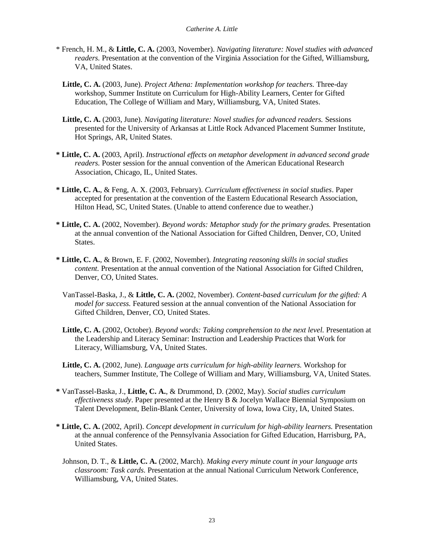- \* French, H. M., & **Little, C. A.** (2003, November). *Navigating literature: Novel studies with advanced readers.* Presentation at the convention of the Virginia Association for the Gifted, Williamsburg, VA, United States.
	- **Little, C. A.** (2003, June). *Project Athena: Implementation workshop for teachers.* Three-day workshop, Summer Institute on Curriculum for High-Ability Learners, Center for Gifted Education, The College of William and Mary, Williamsburg, VA, United States.
	- **Little, C. A.** (2003, June). *Navigating literature: Novel studies for advanced readers.* Sessions presented for the University of Arkansas at Little Rock Advanced Placement Summer Institute, Hot Springs, AR, United States.
- **\* Little, C. A.** (2003, April). *Instructional effects on metaphor development in advanced second grade readers.* Poster session for the annual convention of the American Educational Research Association, Chicago, IL, United States.
- **\* Little, C. A.**, & Feng, A. X. (2003, February). *Curriculum effectiveness in social studies*. Paper accepted for presentation at the convention of the Eastern Educational Research Association, Hilton Head, SC, United States. (Unable to attend conference due to weather.)
- **\* Little, C. A.** (2002, November). *Beyond words: Metaphor study for the primary grades.* Presentation at the annual convention of the National Association for Gifted Children, Denver, CO, United States.
- **\* Little, C. A.**, & Brown, E. F. (2002, November). *Integrating reasoning skills in social studies content.* Presentation at the annual convention of the National Association for Gifted Children, Denver, CO, United States.
	- VanTassel-Baska, J., & **Little, C. A.** (2002, November). *Content-based curriculum for the gifted: A model for success.* Featured session at the annual convention of the National Association for Gifted Children, Denver, CO, United States.
	- **Little, C. A.** (2002, October). *Beyond words: Taking comprehension to the next level.* Presentation at the Leadership and Literacy Seminar: Instruction and Leadership Practices that Work for Literacy, Williamsburg, VA, United States.
	- **Little, C. A.** (2002, June). *Language arts curriculum for high-ability learners.* Workshop for teachers, Summer Institute, The College of William and Mary, Williamsburg, VA, United States.
- **\*** VanTassel-Baska, J., **Little, C. A.**, & Drummond, D. (2002, May). *Social studies curriculum effectiveness study*. Paper presented at the Henry B & Jocelyn Wallace Biennial Symposium on Talent Development, Belin-Blank Center, University of Iowa, Iowa City, IA, United States.
- **\* Little, C. A.** (2002, April). *Concept development in curriculum for high-ability learners.* Presentation at the annual conference of the Pennsylvania Association for Gifted Education, Harrisburg, PA, United States.
	- Johnson, D. T., & **Little, C. A.** (2002, March). *Making every minute count in your language arts classroom: Task cards.* Presentation at the annual National Curriculum Network Conference, Williamsburg, VA, United States.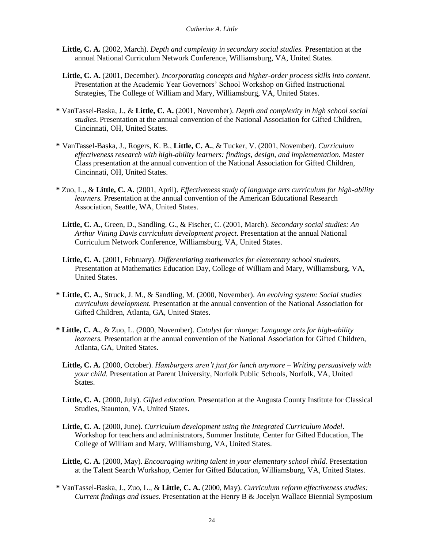- **Little, C. A.** (2002, March). *Depth and complexity in secondary social studies.* Presentation at the annual National Curriculum Network Conference, Williamsburg, VA, United States.
- **Little, C. A.** (2001, December). *Incorporating concepts and higher-order process skills into content.* Presentation at the Academic Year Governors' School Workshop on Gifted Instructional Strategies, The College of William and Mary, Williamsburg, VA, United States.
- **\*** VanTassel-Baska, J., & **Little, C. A.** (2001, November). *Depth and complexity in high school social studies*. Presentation at the annual convention of the National Association for Gifted Children, Cincinnati, OH, United States.
- **\*** VanTassel-Baska, J., Rogers, K. B., **Little, C. A.**, & Tucker, V. (2001, November). *Curriculum effectiveness research with high-ability learners: findings, design, and implementation.* Master Class presentation at the annual convention of the National Association for Gifted Children, Cincinnati, OH, United States.
- **\*** Zuo, L., & **Little, C. A.** (2001, April). *Effectiveness study of language arts curriculum for high-ability learners.* Presentation at the annual convention of the American Educational Research Association, Seattle, WA, United States.
	- **Little, C. A.**, Green, D., Sandling, G., & Fischer, C. (2001, March). *Secondary social studies: An Arthur Vining Davis curriculum development project*. Presentation at the annual National Curriculum Network Conference, Williamsburg, VA, United States.
	- **Little, C. A.** (2001, February). *Differentiating mathematics for elementary school students.* Presentation at Mathematics Education Day, College of William and Mary, Williamsburg, VA, United States.
- **\* Little, C. A.**, Struck, J. M., & Sandling, M. (2000, November). *An evolving system: Social studies curriculum development.* Presentation at the annual convention of the National Association for Gifted Children, Atlanta, GA, United States.
- **\* Little, C. A.**, & Zuo, L. (2000, November). *Catalyst for change: Language arts for high-ability learners.* Presentation at the annual convention of the National Association for Gifted Children, Atlanta, GA, United States.
	- **Little, C. A.** (2000, October). *Hamburgers aren't just for lunch anymore – Writing persuasively with your child.* Presentation at Parent University, Norfolk Public Schools, Norfolk, VA, United States.
	- **Little, C. A.** (2000, July). *Gifted education.* Presentation at the Augusta County Institute for Classical Studies, Staunton, VA, United States.
	- **Little, C. A.** (2000, June). *Curriculum development using the Integrated Curriculum Model*. Workshop for teachers and administrators, Summer Institute, Center for Gifted Education, The College of William and Mary, Williamsburg, VA, United States.
	- **Little, C. A.** (2000, May). *Encouraging writing talent in your elementary school child*. Presentation at the Talent Search Workshop, Center for Gifted Education, Williamsburg, VA, United States.
- **\*** VanTassel-Baska, J., Zuo, L., & **Little, C. A.** (2000, May). *Curriculum reform effectiveness studies: Current findings and issues.* Presentation at the Henry B & Jocelyn Wallace Biennial Symposium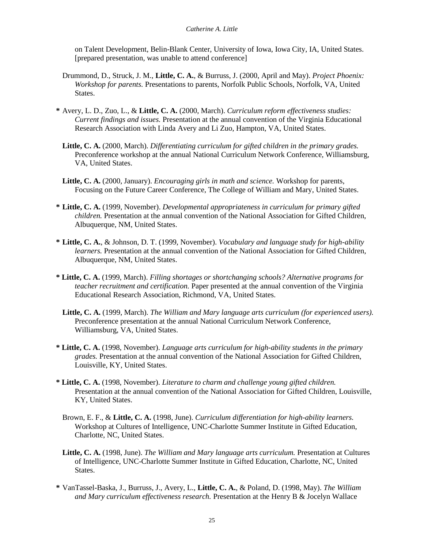on Talent Development, Belin-Blank Center, University of Iowa, Iowa City, IA, United States. [prepared presentation, was unable to attend conference]

- Drummond, D., Struck, J. M., **Little, C. A.**, & Burruss, J. (2000, April and May). *Project Phoenix: Workshop for parents.* Presentations to parents, Norfolk Public Schools, Norfolk, VA, United States.
- **\*** Avery, L. D., Zuo, L., & **Little, C. A.** (2000, March). *Curriculum reform effectiveness studies: Current findings and issues.* Presentation at the annual convention of the Virginia Educational Research Association with Linda Avery and Li Zuo, Hampton, VA, United States.
	- **Little, C. A.** (2000, March). *Differentiating curriculum for gifted children in the primary grades.*  Preconference workshop at the annual National Curriculum Network Conference, Williamsburg, VA, United States.
	- **Little, C. A.** (2000, January). *Encouraging girls in math and science.* Workshop for parents, Focusing on the Future Career Conference, The College of William and Mary, United States.
- **\* Little, C. A.** (1999, November). *Developmental appropriateness in curriculum for primary gifted children.* Presentation at the annual convention of the National Association for Gifted Children, Albuquerque, NM, United States.
- **\* Little, C. A.**, & Johnson, D. T. (1999, November). *Vocabulary and language study for high-ability learners.* Presentation at the annual convention of the National Association for Gifted Children, Albuquerque, NM, United States.
- **\* Little, C. A.** (1999, March). *Filling shortages or shortchanging schools? Alternative programs for teacher recruitment and certification.* Paper presented at the annual convention of the Virginia Educational Research Association, Richmond, VA, United States.
	- **Little, C. A.** (1999, March). *The William and Mary language arts curriculum (for experienced users).* Preconference presentation at the annual National Curriculum Network Conference, Williamsburg, VA, United States.
- **\* Little, C. A.** (1998, November). *Language arts curriculum for high-ability students in the primary grades.* Presentation at the annual convention of the National Association for Gifted Children, Louisville, KY, United States.
- **\* Little, C. A.** (1998, November). *Literature to charm and challenge young gifted children.*  Presentation at the annual convention of the National Association for Gifted Children, Louisville, KY, United States.
	- Brown, E. F., & **Little, C. A.** (1998, June). *Curriculum differentiation for high-ability learners.*  Workshop at Cultures of Intelligence, UNC-Charlotte Summer Institute in Gifted Education, Charlotte, NC, United States.
	- **Little, C. A.** (1998, June). *The William and Mary language arts curriculum.* Presentation at Cultures of Intelligence, UNC-Charlotte Summer Institute in Gifted Education, Charlotte, NC, United States.
- **\*** VanTassel-Baska, J., Burruss, J., Avery, L., **Little, C. A.**, & Poland, D. (1998, May). *The William and Mary curriculum effectiveness research.* Presentation at the Henry B & Jocelyn Wallace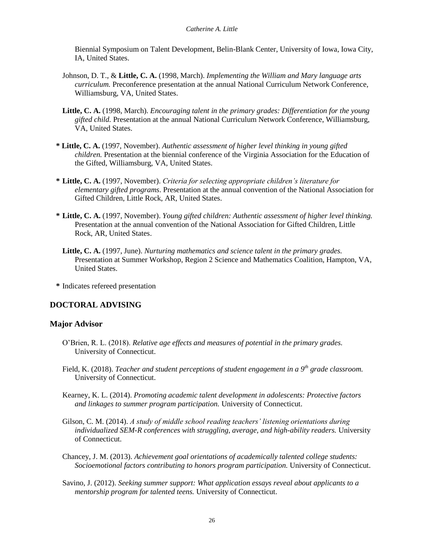Biennial Symposium on Talent Development, Belin-Blank Center, University of Iowa, Iowa City, IA, United States.

- Johnson, D. T., & **Little, C. A.** (1998, March). *Implementing the William and Mary language arts curriculum.* Preconference presentation at the annual National Curriculum Network Conference, Williamsburg, VA, United States.
- **Little, C. A.** (1998, March). *Encouraging talent in the primary grades: Differentiation for the young gifted child.* Presentation at the annual National Curriculum Network Conference, Williamsburg, VA, United States.
- **\* Little, C. A.** (1997, November). *Authentic assessment of higher level thinking in young gifted children.* Presentation at the biennial conference of the Virginia Association for the Education of the Gifted, Williamsburg, VA, United States.
- **\* Little, C. A.** (1997, November). *Criteria for selecting appropriate children's literature for elementary gifted programs*. Presentation at the annual convention of the National Association for Gifted Children, Little Rock, AR, United States.
- **\* Little, C. A.** (1997, November). *Young gifted children: Authentic assessment of higher level thinking.* Presentation at the annual convention of the National Association for Gifted Children, Little Rock, AR, United States.
	- **Little, C. A.** (1997, June). *Nurturing mathematics and science talent in the primary grades.*  Presentation at Summer Workshop, Region 2 Science and Mathematics Coalition, Hampton, VA, United States.
- **\*** Indicates refereed presentation

# **DOCTORAL ADVISING**

# **Major Advisor**

- O'Brien, R. L. (2018). *Relative age effects and measures of potential in the primary grades.*  University of Connecticut.
- Field, K. (2018). *Teacher and student perceptions of student engagement in a 9th grade classroom.*  University of Connecticut.
- Kearney, K. L. (2014). *Promoting academic talent development in adolescents: Protective factors and linkages to summer program participation.* University of Connecticut.
- Gilson, C. M. (2014). *A study of middle school reading teachers' listening orientations during individualized SEM-R conferences with struggling, average, and high-ability readers.* University of Connecticut.
- Chancey, J. M. (2013). *Achievement goal orientations of academically talented college students: Socioemotional factors contributing to honors program participation.* University of Connecticut.
- Savino, J. (2012). *Seeking summer support: What application essays reveal about applicants to a mentorship program for talented teens.* University of Connecticut.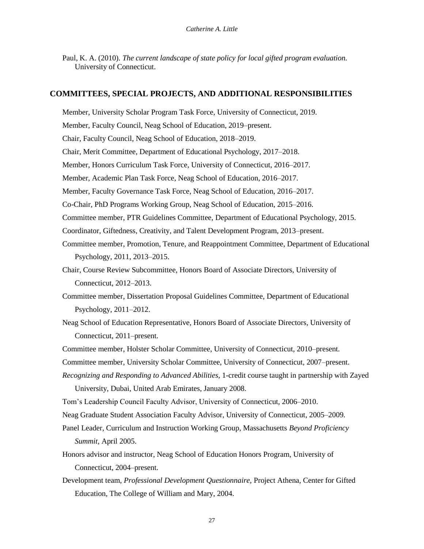Paul, K. A. (2010). *The current landscape of state policy for local gifted program evaluation.*  University of Connecticut.

### **COMMITTEES, SPECIAL PROJECTS, AND ADDITIONAL RESPONSIBILITIES**

Member, University Scholar Program Task Force, University of Connecticut, 2019. Member, Faculty Council, Neag School of Education, 2019–present. Chair, Faculty Council, Neag School of Education, 2018–2019. Chair, Merit Committee, Department of Educational Psychology, 2017–2018. Member, Honors Curriculum Task Force, University of Connecticut, 2016–2017. Member, Academic Plan Task Force, Neag School of Education, 2016–2017. Member, Faculty Governance Task Force, Neag School of Education, 2016–2017. Co-Chair, PhD Programs Working Group, Neag School of Education, 2015–2016. Committee member, PTR Guidelines Committee, Department of Educational Psychology, 2015. Coordinator, Giftedness, Creativity, and Talent Development Program, 2013–present. Committee member, Promotion, Tenure, and Reappointment Committee, Department of Educational Psychology, 2011, 2013–2015. Chair, Course Review Subcommittee, Honors Board of Associate Directors, University of Connecticut, 2012–2013. Committee member, Dissertation Proposal Guidelines Committee, Department of Educational Psychology, 2011–2012. Neag School of Education Representative, Honors Board of Associate Directors, University of Connecticut, 2011–present. Committee member, Holster Scholar Committee, University of Connecticut, 2010–present. Committee member, University Scholar Committee, University of Connecticut, 2007–present. *Recognizing and Responding to Advanced Abilities,* 1-credit course taught in partnership with Zayed University, Dubai, United Arab Emirates, January 2008. Tom's Leadership Council Faculty Advisor, University of Connecticut, 2006–2010. Neag Graduate Student Association Faculty Advisor, University of Connecticut, 2005–2009. Panel Leader, Curriculum and Instruction Working Group, Massachusetts *Beyond Proficiency Summit,* April 2005. Honors advisor and instructor, Neag School of Education Honors Program, University of

- Connecticut, 2004–present.
- Development team, *Professional Development Questionnaire,* Project Athena, Center for Gifted Education, The College of William and Mary, 2004.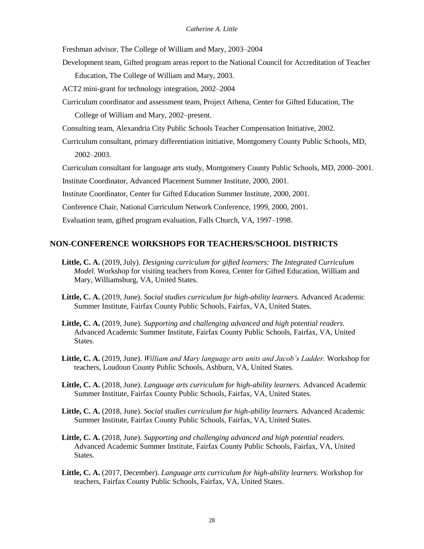Freshman advisor, The College of William and Mary, 2003–2004

Development team, Gifted program areas report to the National Council for Accreditation of Teacher Education, The College of William and Mary, 2003.

ACT2 mini-grant for technology integration, 2002–2004

Curriculum coordinator and assessment team, Project Athena, Center for Gifted Education, The College of William and Mary, 2002–present.

Consulting team, Alexandria City Public Schools Teacher Compensation Initiative, 2002.

Curriculum consultant, primary differentiation initiative, Montgomery County Public Schools, MD, 2002–2003.

Curriculum consultant for language arts study, Montgomery County Public Schools, MD, 2000–2001.

Institute Coordinator, Advanced Placement Summer Institute, 2000, 2001.

Institute Coordinator, Center for Gifted Education Summer Institute, 2000, 2001.

Conference Chair, National Curriculum Network Conference, 1999, 2000, 2001.

Evaluation team, gifted program evaluation, Falls Church, VA, 1997–1998.

### **NON-CONFERENCE WORKSHOPS FOR TEACHERS/SCHOOL DISTRICTS**

- **Little, C. A.** (2019, July). *Designing curriculum for gifted learners: The Integrated Curriculum Model.* Workshop for visiting teachers from Korea, Center for Gifted Education, William and Mary, Williamsburg, VA, United States.
- **Little, C. A.** (2019, June). *Social studies curriculum for high-ability learners.* Advanced Academic Summer Institute, Fairfax County Public Schools, Fairfax, VA, United States.
- **Little, C. A.** (2019, June). *Supporting and challenging advanced and high potential readers.*  Advanced Academic Summer Institute, Fairfax County Public Schools, Fairfax, VA, United States.
- **Little, C. A.** (2019, June). *William and Mary language arts units and Jacob's Ladder.* Workshop for teachers, Loudoun County Public Schools, Ashburn, VA, United States.
- **Little, C. A.** (2018, June). *Language arts curriculum for high-ability learners.* Advanced Academic Summer Institute, Fairfax County Public Schools, Fairfax, VA, United States.
- **Little, C. A.** (2018, June). *Social studies curriculum for high-ability learners.* Advanced Academic Summer Institute, Fairfax County Public Schools, Fairfax, VA, United States.
- **Little, C. A.** (2018, June). *Supporting and challenging advanced and high potential readers.*  Advanced Academic Summer Institute, Fairfax County Public Schools, Fairfax, VA, United States.
- **Little, C. A.** (2017, December). *Language arts curriculum for high-ability learners.* Workshop for teachers, Fairfax County Public Schools, Fairfax, VA, United States.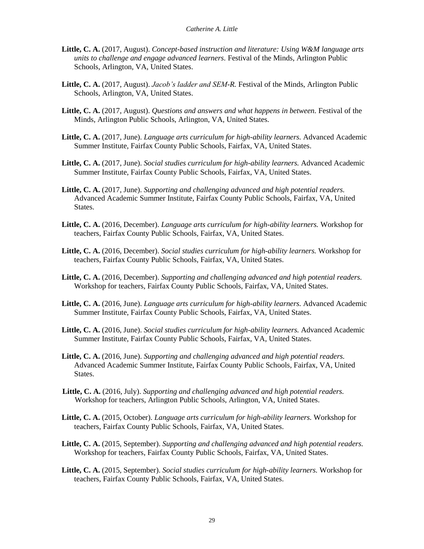- **Little, C. A.** (2017, August). *Concept-based instruction and literature: Using W&M language arts units to challenge and engage advanced learners.* Festival of the Minds, Arlington Public Schools, Arlington, VA, United States.
- **Little, C. A.** (2017, August). *Jacob's ladder and SEM-R.* Festival of the Minds, Arlington Public Schools, Arlington, VA, United States.
- Little, C. A. (2017, August). *Questions and answers and what happens in between*. Festival of the Minds, Arlington Public Schools, Arlington, VA, United States.
- **Little, C. A.** (2017, June). *Language arts curriculum for high-ability learners.* Advanced Academic Summer Institute, Fairfax County Public Schools, Fairfax, VA, United States.
- **Little, C. A.** (2017, June). *Social studies curriculum for high-ability learners.* Advanced Academic Summer Institute, Fairfax County Public Schools, Fairfax, VA, United States.
- **Little, C. A.** (2017, June). *Supporting and challenging advanced and high potential readers.*  Advanced Academic Summer Institute, Fairfax County Public Schools, Fairfax, VA, United States.
- **Little, C. A.** (2016, December). *Language arts curriculum for high-ability learners.* Workshop for teachers, Fairfax County Public Schools, Fairfax, VA, United States.
- **Little, C. A.** (2016, December). *Social studies curriculum for high-ability learners.* Workshop for teachers, Fairfax County Public Schools, Fairfax, VA, United States.
- **Little, C. A.** (2016, December). *Supporting and challenging advanced and high potential readers.*  Workshop for teachers, Fairfax County Public Schools, Fairfax, VA, United States.
- **Little, C. A.** (2016, June). *Language arts curriculum for high-ability learners.* Advanced Academic Summer Institute, Fairfax County Public Schools, Fairfax, VA, United States.
- **Little, C. A.** (2016, June). *Social studies curriculum for high-ability learners.* Advanced Academic Summer Institute, Fairfax County Public Schools, Fairfax, VA, United States.
- **Little, C. A.** (2016, June). *Supporting and challenging advanced and high potential readers.*  Advanced Academic Summer Institute, Fairfax County Public Schools, Fairfax, VA, United States.
- **Little, C. A.** (2016, July). *Supporting and challenging advanced and high potential readers.*  Workshop for teachers, Arlington Public Schools, Arlington, VA, United States.
- **Little, C. A.** (2015, October). *Language arts curriculum for high-ability learners.* Workshop for teachers, Fairfax County Public Schools, Fairfax, VA, United States.
- **Little, C. A.** (2015, September). *Supporting and challenging advanced and high potential readers.*  Workshop for teachers, Fairfax County Public Schools, Fairfax, VA, United States.
- **Little, C. A.** (2015, September). *Social studies curriculum for high-ability learners.* Workshop for teachers, Fairfax County Public Schools, Fairfax, VA, United States.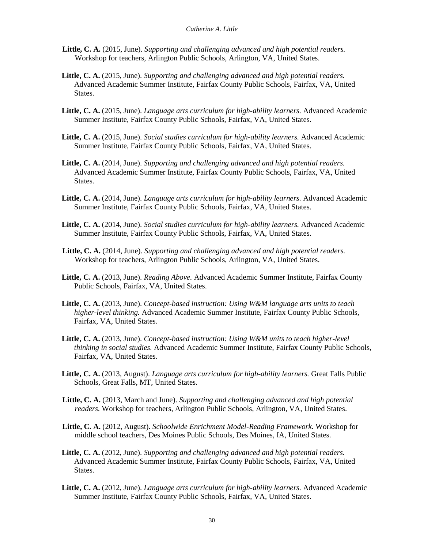- **Little, C. A.** (2015, June). *Supporting and challenging advanced and high potential readers.*  Workshop for teachers, Arlington Public Schools, Arlington, VA, United States.
- **Little, C. A.** (2015, June). *Supporting and challenging advanced and high potential readers.*  Advanced Academic Summer Institute, Fairfax County Public Schools, Fairfax, VA, United States.
- **Little, C. A.** (2015, June). *Language arts curriculum for high-ability learners.* Advanced Academic Summer Institute, Fairfax County Public Schools, Fairfax, VA, United States.
- **Little, C. A.** (2015, June). *Social studies curriculum for high-ability learners.* Advanced Academic Summer Institute, Fairfax County Public Schools, Fairfax, VA, United States.
- **Little, C. A.** (2014, June). *Supporting and challenging advanced and high potential readers.*  Advanced Academic Summer Institute, Fairfax County Public Schools, Fairfax, VA, United States.
- **Little, C. A.** (2014, June). *Language arts curriculum for high-ability learners.* Advanced Academic Summer Institute, Fairfax County Public Schools, Fairfax, VA, United States.
- **Little, C. A.** (2014, June). *Social studies curriculum for high-ability learners.* Advanced Academic Summer Institute, Fairfax County Public Schools, Fairfax, VA, United States.
- **Little, C. A.** (2014, June). *Supporting and challenging advanced and high potential readers.*  Workshop for teachers, Arlington Public Schools, Arlington, VA, United States.
- **Little, C. A.** (2013, June). *Reading Above.* Advanced Academic Summer Institute, Fairfax County Public Schools, Fairfax, VA, United States.
- **Little, C. A.** (2013, June). *Concept-based instruction: Using W&M language arts units to teach higher-level thinking.* Advanced Academic Summer Institute, Fairfax County Public Schools, Fairfax, VA, United States.
- **Little, C. A.** (2013, June). *Concept-based instruction: Using W&M units to teach higher-level thinking in social studies.* Advanced Academic Summer Institute, Fairfax County Public Schools, Fairfax, VA, United States.
- **Little, C. A.** (2013, August). *Language arts curriculum for high-ability learners.* Great Falls Public Schools, Great Falls, MT, United States.
- **Little, C. A.** (2013, March and June). *Supporting and challenging advanced and high potential readers.* Workshop for teachers, Arlington Public Schools, Arlington, VA, United States.
- **Little, C. A.** (2012, August). *Schoolwide Enrichment Model-Reading Framework.* Workshop for middle school teachers, Des Moines Public Schools, Des Moines, IA, United States.
- **Little, C. A.** (2012, June). *Supporting and challenging advanced and high potential readers.*  Advanced Academic Summer Institute, Fairfax County Public Schools, Fairfax, VA, United States.
- **Little, C. A.** (2012, June). *Language arts curriculum for high-ability learners.* Advanced Academic Summer Institute, Fairfax County Public Schools, Fairfax, VA, United States.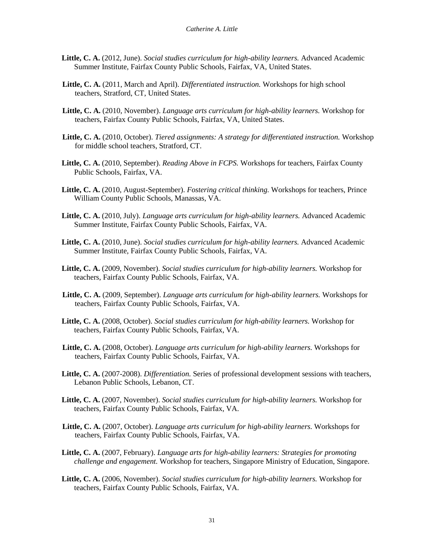- **Little, C. A.** (2012, June). *Social studies curriculum for high-ability learners.* Advanced Academic Summer Institute, Fairfax County Public Schools, Fairfax, VA, United States.
- **Little, C. A.** (2011, March and April). *Differentiated instruction.* Workshops for high school teachers, Stratford, CT, United States.
- **Little, C. A.** (2010, November). *Language arts curriculum for high-ability learners.* Workshop for teachers, Fairfax County Public Schools, Fairfax, VA, United States.
- **Little, C. A.** (2010, October). *Tiered assignments: A strategy for differentiated instruction.* Workshop for middle school teachers, Stratford, CT.
- **Little, C. A.** (2010, September). *Reading Above in FCPS.* Workshops for teachers, Fairfax County Public Schools, Fairfax, VA.
- **Little, C. A.** (2010, August-September). *Fostering critical thinking.* Workshops for teachers, Prince William County Public Schools, Manassas, VA.
- **Little, C. A.** (2010, July). *Language arts curriculum for high-ability learners.* Advanced Academic Summer Institute, Fairfax County Public Schools, Fairfax, VA.
- **Little, C. A.** (2010, June). *Social studies curriculum for high-ability learners.* Advanced Academic Summer Institute, Fairfax County Public Schools, Fairfax, VA.
- **Little, C. A.** (2009, November). *Social studies curriculum for high-ability learners.* Workshop for teachers, Fairfax County Public Schools, Fairfax, VA.
- **Little, C. A.** (2009, September). *Language arts curriculum for high-ability learners.* Workshops for teachers, Fairfax County Public Schools, Fairfax, VA.
- **Little, C. A.** (2008, October). *Social studies curriculum for high-ability learners.* Workshop for teachers, Fairfax County Public Schools, Fairfax, VA.
- **Little, C. A.** (2008, October). *Language arts curriculum for high-ability learners.* Workshops for teachers, Fairfax County Public Schools, Fairfax, VA.
- **Little, C. A.** (2007-2008). *Differentiation.* Series of professional development sessions with teachers, Lebanon Public Schools, Lebanon, CT.
- **Little, C. A.** (2007, November). *Social studies curriculum for high-ability learners.* Workshop for teachers, Fairfax County Public Schools, Fairfax, VA.
- **Little, C. A.** (2007, October). *Language arts curriculum for high-ability learners.* Workshops for teachers, Fairfax County Public Schools, Fairfax, VA.
- **Little, C. A.** (2007, February). *Language arts for high-ability learners: Strategies for promoting challenge and engagement.* Workshop for teachers, Singapore Ministry of Education, Singapore.
- **Little, C. A.** (2006, November). *Social studies curriculum for high-ability learners.* Workshop for teachers, Fairfax County Public Schools, Fairfax, VA.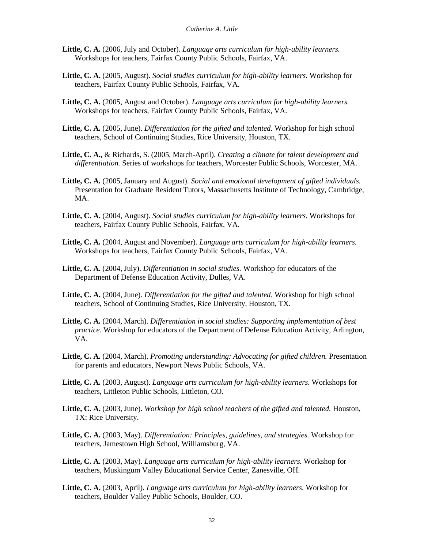- **Little, C. A.** (2006, July and October). *Language arts curriculum for high-ability learners.*  Workshops for teachers, Fairfax County Public Schools, Fairfax, VA.
- **Little, C. A.** (2005, August). *Social studies curriculum for high-ability learners.* Workshop for teachers, Fairfax County Public Schools, Fairfax, VA.
- **Little, C. A.** (2005, August and October). *Language arts curriculum for high-ability learners.*  Workshops for teachers, Fairfax County Public Schools, Fairfax, VA.
- **Little, C. A.** (2005, June). *Differentiation for the gifted and talented.* Workshop for high school teachers, School of Continuing Studies, Rice University, Houston, TX.
- **Little, C. A.,** & Richards, S. (2005, March-April). *Creating a climate for talent development and differentiation.* Series of workshops for teachers, Worcester Public Schools, Worcester, MA.
- **Little, C. A.** (2005, January and August). *Social and emotional development of gifted individuals.* Presentation for Graduate Resident Tutors, Massachusetts Institute of Technology, Cambridge, MA.
- **Little, C. A.** (2004, August). *Social studies curriculum for high-ability learners.* Workshops for teachers, Fairfax County Public Schools, Fairfax, VA.
- **Little, C. A.** (2004, August and November). *Language arts curriculum for high-ability learners.*  Workshops for teachers, Fairfax County Public Schools, Fairfax, VA.
- **Little, C. A.** (2004, July). *Differentiation in social studies.* Workshop for educators of the Department of Defense Education Activity, Dulles, VA.
- **Little, C. A.** (2004, June). *Differentiation for the gifted and talented.* Workshop for high school teachers, School of Continuing Studies, Rice University, Houston, TX.
- **Little, C. A.** (2004, March). *Differentiation in social studies: Supporting implementation of best practice.* Workshop for educators of the Department of Defense Education Activity, Arlington, VA.
- **Little, C. A.** (2004, March). *Promoting understanding: Advocating for gifted children.* Presentation for parents and educators, Newport News Public Schools, VA.
- **Little, C. A.** (2003, August). *Language arts curriculum for high-ability learners.* Workshops for teachers, Littleton Public Schools, Littleton, CO.
- **Little, C. A.** (2003, June). *Workshop for high school teachers of the gifted and talented.* Houston, TX: Rice University.
- **Little, C. A.** (2003, May). *Differentiation: Principles, guidelines, and strategies.* Workshop for teachers, Jamestown High School, Williamsburg, VA.
- **Little, C. A.** (2003, May). *Language arts curriculum for high-ability learners.* Workshop for teachers, Muskingum Valley Educational Service Center, Zanesville, OH.
- **Little, C. A.** (2003, April). *Language arts curriculum for high-ability learners.* Workshop for teachers, Boulder Valley Public Schools, Boulder, CO.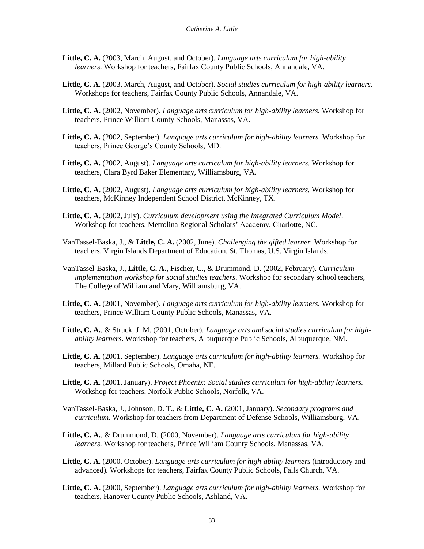- **Little, C. A.** (2003, March, August, and October). *Language arts curriculum for high-ability learners.* Workshop for teachers, Fairfax County Public Schools, Annandale, VA.
- **Little, C. A.** (2003, March, August, and October). *Social studies curriculum for high-ability learners.* Workshops for teachers, Fairfax County Public Schools, Annandale, VA.
- **Little, C. A.** (2002, November). *Language arts curriculum for high-ability learners.* Workshop for teachers, Prince William County Schools, Manassas, VA.
- **Little, C. A.** (2002, September). *Language arts curriculum for high-ability learners.* Workshop for teachers, Prince George's County Schools, MD.
- **Little, C. A.** (2002, August). *Language arts curriculum for high-ability learners.* Workshop for teachers, Clara Byrd Baker Elementary, Williamsburg, VA.
- **Little, C. A.** (2002, August). *Language arts curriculum for high-ability learners.* Workshop for teachers, McKinney Independent School District, McKinney, TX.
- **Little, C. A.** (2002, July). *Curriculum development using the Integrated Curriculum Model*. Workshop for teachers, Metrolina Regional Scholars' Academy, Charlotte, NC.
- VanTassel-Baska, J., & **Little, C. A.** (2002, June). *Challenging the gifted learner.* Workshop for teachers, Virgin Islands Department of Education, St. Thomas, U.S. Virgin Islands.
- VanTassel-Baska, J., **Little, C. A.**, Fischer, C., & Drummond, D. (2002, February). *Curriculum implementation workshop for social studies teachers*. Workshop for secondary school teachers, The College of William and Mary, Williamsburg, VA.
- **Little, C. A.** (2001, November). *Language arts curriculum for high-ability learners.* Workshop for teachers, Prince William County Public Schools, Manassas, VA.
- **Little, C. A.**, & Struck, J. M. (2001, October). *Language arts and social studies curriculum for highability learners*. Workshop for teachers, Albuquerque Public Schools, Albuquerque, NM.
- **Little, C. A.** (2001, September). *Language arts curriculum for high-ability learners.* Workshop for teachers, Millard Public Schools, Omaha, NE.
- **Little, C. A.** (2001, January). *Project Phoenix: Social studies curriculum for high-ability learners.*  Workshop for teachers, Norfolk Public Schools, Norfolk, VA.
- VanTassel-Baska, J., Johnson, D. T., & **Little, C. A.** (2001, January). *Secondary programs and curriculum.* Workshop for teachers from Department of Defense Schools, Williamsburg, VA.
- **Little, C. A.**, & Drummond, D. (2000, November). *Language arts curriculum for high-ability learners.* Workshop for teachers, Prince William County Schools, Manassas, VA.
- **Little, C. A.** (2000, October). *Language arts curriculum for high-ability learners* (introductory and advanced)*.* Workshops for teachers, Fairfax County Public Schools, Falls Church, VA.
- **Little, C. A.** (2000, September). *Language arts curriculum for high-ability learners.* Workshop for teachers, Hanover County Public Schools, Ashland, VA.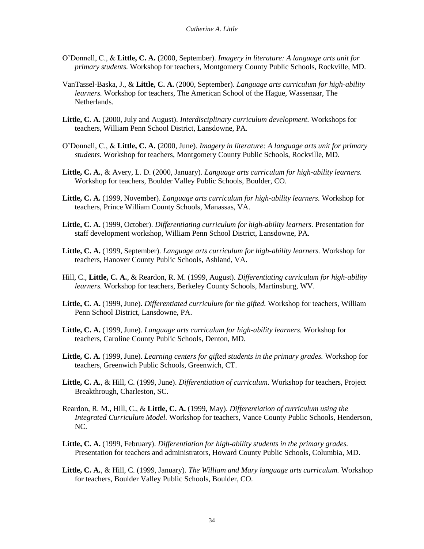- O'Donnell, C., & **Little, C. A.** (2000, September). *Imagery in literature: A language arts unit for primary students.* Workshop for teachers, Montgomery County Public Schools, Rockville, MD.
- VanTassel-Baska, J., & **Little, C. A.** (2000, September). *Language arts curriculum for high-ability learners.* Workshop for teachers, The American School of the Hague, Wassenaar, The Netherlands.
- **Little, C. A.** (2000, July and August). *Interdisciplinary curriculum development.* Workshops for teachers, William Penn School District, Lansdowne, PA.
- O'Donnell, C., & **Little, C. A.** (2000, June). *Imagery in literature: A language arts unit for primary students.* Workshop for teachers, Montgomery County Public Schools, Rockville, MD.
- **Little, C. A.**, & Avery, L. D. (2000, January). *Language arts curriculum for high-ability learners.* Workshop for teachers, Boulder Valley Public Schools, Boulder, CO.
- **Little, C. A.** (1999, November). *Language arts curriculum for high-ability learners.* Workshop for teachers, Prince William County Schools, Manassas, VA.
- **Little, C. A.** (1999, October). *Differentiating curriculum for high-ability learners.* Presentation for staff development workshop, William Penn School District, Lansdowne, PA.
- **Little, C. A.** (1999, September). *Language arts curriculum for high-ability learners.* Workshop for teachers, Hanover County Public Schools, Ashland, VA.
- Hill, C., **Little, C. A.**, & Reardon, R. M. (1999, August). *Differentiating curriculum for high-ability learners.* Workshop for teachers, Berkeley County Schools, Martinsburg, WV.
- **Little, C. A.** (1999, June). *Differentiated curriculum for the gifted.* Workshop for teachers, William Penn School District, Lansdowne, PA.
- **Little, C. A.** (1999, June). *Language arts curriculum for high-ability learners.* Workshop for teachers, Caroline County Public Schools, Denton, MD.
- **Little, C. A.** (1999, June). *Learning centers for gifted students in the primary grades.* Workshop for teachers, Greenwich Public Schools, Greenwich, CT.
- **Little, C. A.**, & Hill, C. (1999, June). *Differentiation of curriculum*. Workshop for teachers, Project Breakthrough, Charleston, SC.
- Reardon, R. M., Hill, C., & **Little, C. A.** (1999, May). *Differentiation of curriculum using the Integrated Curriculum Model.* Workshop for teachers, Vance County Public Schools, Henderson, NC.
- **Little, C. A.** (1999, February). *Differentiation for high-ability students in the primary grades.*  Presentation for teachers and administrators, Howard County Public Schools, Columbia, MD.
- **Little, C. A.**, & Hill, C. (1999, January). *The William and Mary language arts curriculum.* Workshop for teachers, Boulder Valley Public Schools, Boulder, CO.